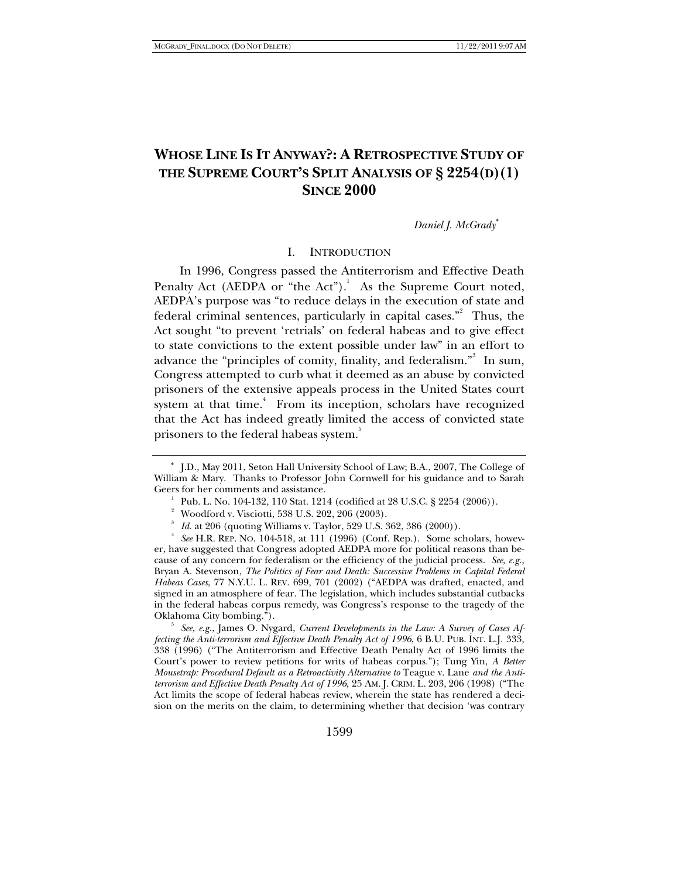# **WHOSE LINE IS IT ANYWAY?: A RETROSPECTIVE STUDY OF THE SUPREME COURT'S SPLIT ANALYSIS OF § 2254(D)(1) SINCE 2000**

*Daniel J. McGrady*<sup>∗</sup>

### I. INTRODUCTION

In 1996, Congress passed the Antiterrorism and Effective Death Penalty Act (AEDPA or "the Act").<sup>1</sup> As the Supreme Court noted, AEDPA's purpose was "to reduce delays in the execution of state and federal criminal sentences, particularly in capital cases."<sup>2</sup> Thus, the Act sought "to prevent 'retrials' on federal habeas and to give effect to state convictions to the extent possible under law" in an effort to advance the "principles of comity, finality, and federalism."<sup>3</sup> In sum, Congress attempted to curb what it deemed as an abuse by convicted prisoners of the extensive appeals process in the United States court system at that time.<sup>4</sup> From its inception, scholars have recognized that the Act has indeed greatly limited the access of convicted state prisoners to the federal habeas system.<sup>3</sup>

 *See, e.g.*, James O. Nygard, *Current Developments in the Law: A Survey of Cases Affecting the Anti-terrorism and Effective Death Penalty Act of 1996*, 6 B.U. PUB. INT. L.J. 333, 338 (1996) ("The Antiterrorism and Effective Death Penalty Act of 1996 limits the Court's power to review petitions for writs of habeas corpus."); Tung Yin, *A Better Mousetrap: Procedural Default as a Retroactivity Alternative to* Teague v. Lane *and the Antiterrorism and Effective Death Penalty Act of 1996*, 25 AM. J. CRIM. L. 203, 206 (1998) ("The Act limits the scope of federal habeas review, wherein the state has rendered a decision on the merits on the claim, to determining whether that decision 'was contrary

<sup>∗</sup> J.D., May 2011, Seton Hall University School of Law; B.A., 2007, The College of William & Mary. Thanks to Professor John Cornwell for his guidance and to Sarah Geers for her comments and assistance.

Pub. L. No. 104-132, 110 Stat. 1214 (codified at 28 U.S.C. § 2254 (2006)).

<sup>&</sup>lt;sup>2</sup> Woodford v. Visciotti, 538 U.S. 202, 206 (2003).

<sup>3</sup> *Id.* at 206 (quoting Williams v. Taylor, 529 U.S. 362, 386 (2000)).

*See* H.R. REP. NO. 104-518, at 111 (1996) (Conf. Rep.). Some scholars, however, have suggested that Congress adopted AEDPA more for political reasons than because of any concern for federalism or the efficiency of the judicial process. *See, e.g*., Bryan A. Stevenson, *The Politics of Fear and Death: Successive Problems in Capital Federal Habeas Cases*, 77 N.Y.U. L. REV. 699, 701 (2002) ("AEDPA was drafted, enacted, and signed in an atmosphere of fear. The legislation, which includes substantial cutbacks in the federal habeas corpus remedy, was Congress's response to the tragedy of the Oklahoma City bombing."). 5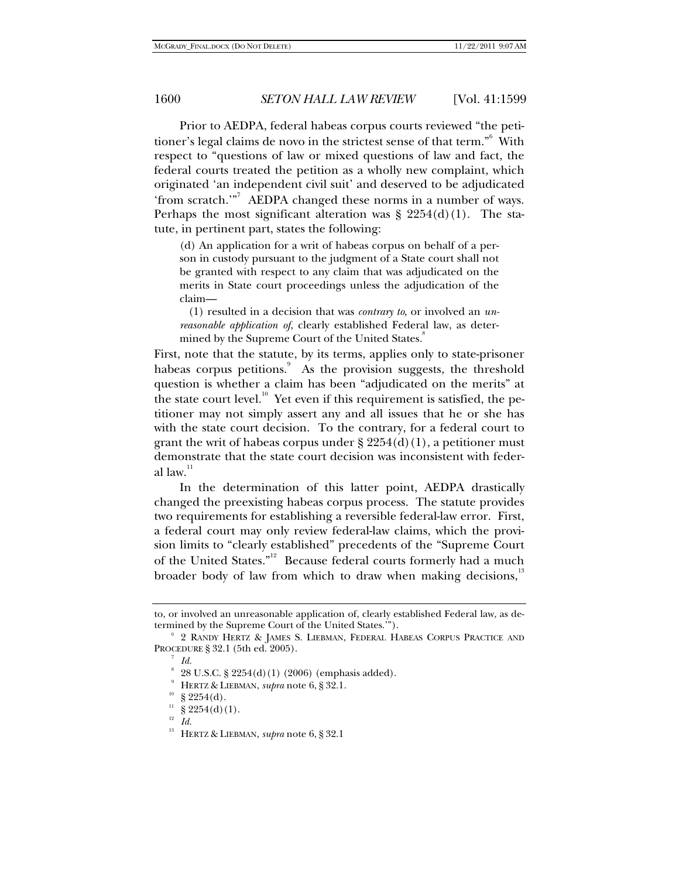Prior to AEDPA, federal habeas corpus courts reviewed "the petitioner's legal claims de novo in the strictest sense of that term."6 With respect to "questions of law or mixed questions of law and fact, the federal courts treated the petition as a wholly new complaint, which originated 'an independent civil suit' and deserved to be adjudicated 'from scratch.'"<sup>7</sup> AEDPA changed these norms in a number of ways. Perhaps the most significant alteration was  $\S 2254(d)(1)$ . The statute, in pertinent part, states the following:

(d) An application for a writ of habeas corpus on behalf of a person in custody pursuant to the judgment of a State court shall not be granted with respect to any claim that was adjudicated on the merits in State court proceedings unless the adjudication of the claim—

 (1) resulted in a decision that was *contrary to*, or involved an *unreasonable application of*, clearly established Federal law, as determined by the Supreme Court of the United States.<sup>8</sup>

First, note that the statute, by its terms, applies only to state-prisoner habeas corpus petitions.<sup>9</sup> As the provision suggests, the threshold question is whether a claim has been "adjudicated on the merits" at the state court level.<sup>10</sup> Yet even if this requirement is satisfied, the petitioner may not simply assert any and all issues that he or she has with the state court decision. To the contrary, for a federal court to grant the writ of habeas corpus under  $\S 2254(d)(1)$ , a petitioner must demonstrate that the state court decision was inconsistent with federal law. $11$ 

In the determination of this latter point, AEDPA drastically changed the preexisting habeas corpus process. The statute provides two requirements for establishing a reversible federal-law error. First, a federal court may only review federal-law claims, which the provision limits to "clearly established" precedents of the "Supreme Court of the United States."<sup>12</sup> Because federal courts formerly had a much broader body of law from which to draw when making decisions,<sup>13</sup>

to, or involved an unreasonable application of, clearly established Federal law, as determined by the Supreme Court of the United States.'").

 <sup>2</sup> RANDY HERTZ & JAMES S. LIEBMAN, FEDERAL HABEAS CORPUS PRACTICE AND PROCEDURE § 32.1 (5th ed. 2005). 7

 $^7$  *Id.* 

 $8\,$  28 U.S.C. § 2254(d)(1) (2006) (emphasis added).

<sup>9</sup> HERTZ & LIEBMAN, *supra* note 6, § 32.1. § 2254(d).

 $\int_{12}^{11} \frac{8}{5} 2254(d)(1).$ 

<sup>12</sup> *Id.*

<sup>13</sup> HERTZ & LIEBMAN, *supra* note 6, § 32.1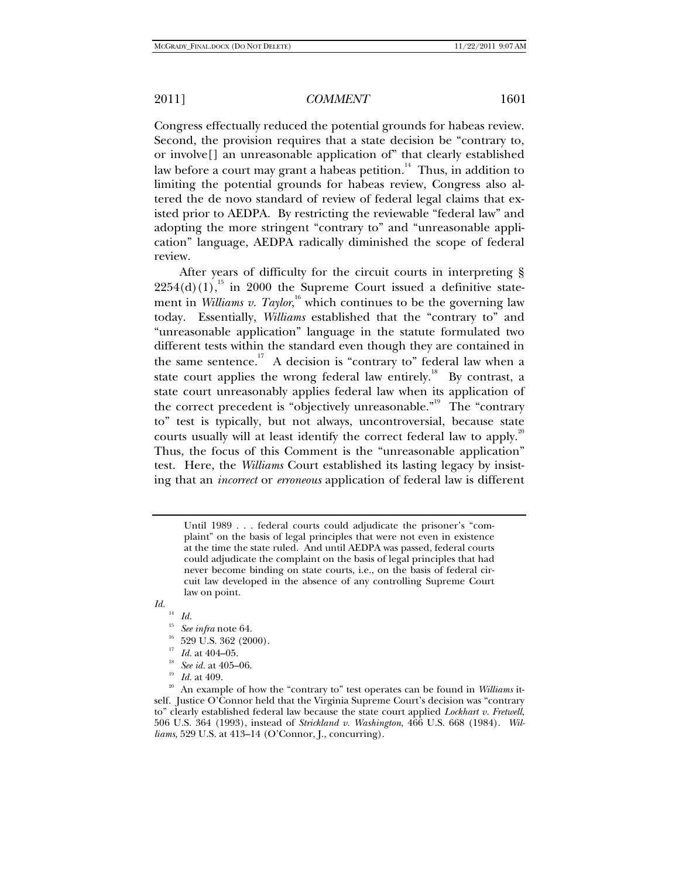review.

#### 2011] *COMMENT* 1601

Congress effectually reduced the potential grounds for habeas review. Second, the provision requires that a state decision be "contrary to, or involve[] an unreasonable application of" that clearly established law before a court may grant a habeas petition.<sup>14</sup> Thus, in addition to limiting the potential grounds for habeas review, Congress also altered the de novo standard of review of federal legal claims that existed prior to AEDPA. By restricting the reviewable "federal law" and adopting the more stringent "contrary to" and "unreasonable appli-

After years of difficulty for the circuit courts in interpreting §  $2254(d)(1)$ ,<sup>15</sup> in 2000 the Supreme Court issued a definitive statement in *Williams v. Taylor*,<sup>16</sup> which continues to be the governing law today. Essentially, *Williams* established that the "contrary to" and "unreasonable application" language in the statute formulated two different tests within the standard even though they are contained in the same sentence.<sup>17</sup> A decision is "contrary to" federal law when a state court applies the wrong federal law entirely.<sup>18</sup> By contrast, a state court unreasonably applies federal law when its application of the correct precedent is "objectively unreasonable."<sup>19</sup> The "contrary" to" test is typically, but not always, uncontroversial, because state courts usually will at least identify the correct federal law to apply.<sup>20</sup> Thus, the focus of this Comment is the "unreasonable application" test. Here, the *Williams* Court established its lasting legacy by insisting that an *incorrect* or *erroneous* application of federal law is different

cation" language, AEDPA radically diminished the scope of federal

Until 1989 . . . federal courts could adjudicate the prisoner's "complaint" on the basis of legal principles that were not even in existence at the time the state ruled. And until AEDPA was passed, federal courts could adjudicate the complaint on the basis of legal principles that had never become binding on state courts, i.e., on the basis of federal circuit law developed in the absence of any controlling Supreme Court law on point.

*Id.*

- $\frac{14}{15}$  *Id.*
- <sup>15</sup> See infra note 64.<br><sup>16</sup> 529 U.S. 362 (2000).<br><sup>17</sup> Id. at 404–05.
- 
- 
- 
- 

<sup>&</sup>lt;sup>18</sup> *See id.* at 405–06.<br><sup>19</sup> *Id.* at 409.<br><sup>20</sup> An example of how the "contrary to" test operates can be found in *Williams* itself. Justice O'Connor held that the Virginia Supreme Court's decision was "contrary to" clearly established federal law because the state court applied *Lockhart v. Fretwell*, 506 U.S. 364 (1993), instead of *Strickland v. Washington*, 466 U.S. 668 (1984). *Williams*, 529 U.S. at 413–14 (O'Connor, J., concurring).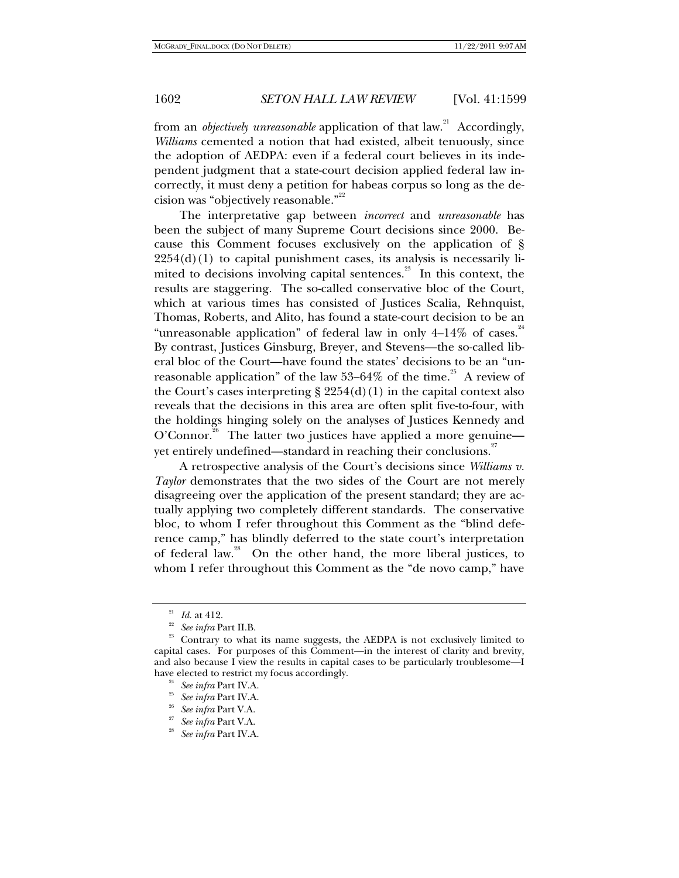from an *objectively unreasonable* application of that law.<sup>21</sup> Accordingly, *Williams* cemented a notion that had existed, albeit tenuously, since the adoption of AEDPA: even if a federal court believes in its independent judgment that a state-court decision applied federal law incorrectly, it must deny a petition for habeas corpus so long as the decision was "objectively reasonable."<sup>22</sup>

The interpretative gap between *incorrect* and *unreasonable* has been the subject of many Supreme Court decisions since 2000. Because this Comment focuses exclusively on the application of §  $2254(d)(1)$  to capital punishment cases, its analysis is necessarily limited to decisions involving capital sentences. $^{23}$  In this context, the results are staggering. The so-called conservative bloc of the Court, which at various times has consisted of Justices Scalia, Rehnquist, Thomas, Roberts, and Alito, has found a state-court decision to be an "unreasonable application" of federal law in only  $4-14\%$  of cases.  $24$ By contrast, Justices Ginsburg, Breyer, and Stevens—the so-called liberal bloc of the Court—have found the states' decisions to be an "unreasonable application" of the law  $53-64\%$  of the time.<sup>25</sup> A review of the Court's cases interpreting  $\S 2254(d)(1)$  in the capital context also reveals that the decisions in this area are often split five-to-four, with the holdings hinging solely on the analyses of Justices Kennedy and O'Connor.<sup>26</sup> The latter two justices have applied a more genuine yet entirely undefined—standard in reaching their conclusions.<sup>27</sup>

A retrospective analysis of the Court's decisions since *Williams v. Taylor* demonstrates that the two sides of the Court are not merely disagreeing over the application of the present standard; they are actually applying two completely different standards. The conservative bloc, to whom I refer throughout this Comment as the "blind deference camp," has blindly deferred to the state court's interpretation of federal law.<sup>28</sup> On the other hand, the more liberal justices, to whom I refer throughout this Comment as the "de novo camp," have

<sup>&</sup>lt;sup>21</sup> *Id.* at 412.<br><sup>22</sup> See infra Part II.B.<br><sup>23</sup> Contrary to what its name suggests, the AEDPA is not exclusively limited to capital cases. For purposes of this Comment—in the interest of clarity and brevity, and also because I view the results in capital cases to be particularly troublesome—I have elected to restrict my focus accordingly. 24 *See infra* Part IV.A. 25 *See infra* Part IV.A. 26 *See infra* Part V.A. 27 *See infra* Part V.A. 28 *See infra* Part IV.A.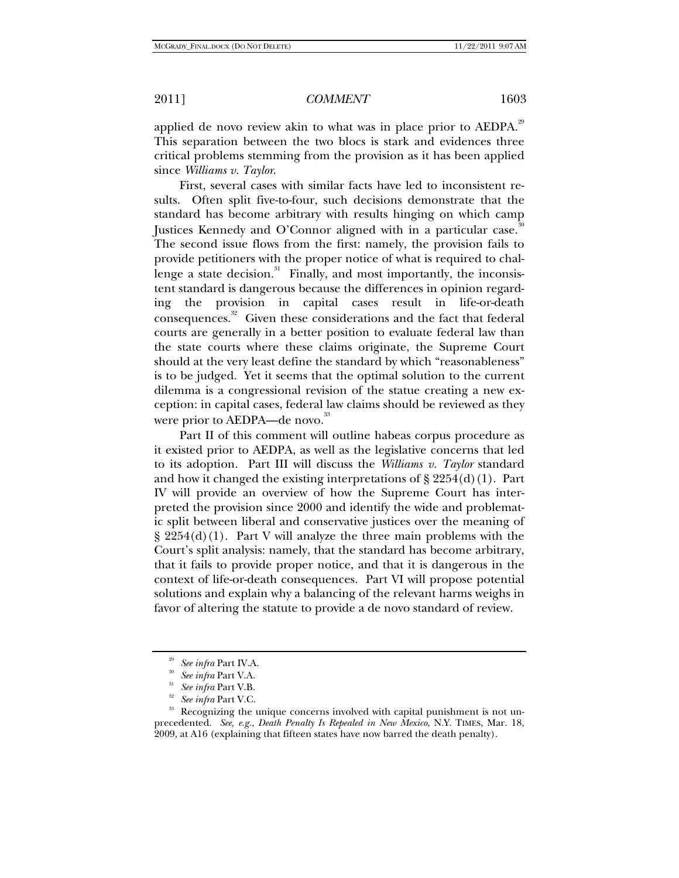applied de novo review akin to what was in place prior to AEDPA.<sup>29</sup> This separation between the two blocs is stark and evidences three critical problems stemming from the provision as it has been applied since *Williams v. Taylor*.

First, several cases with similar facts have led to inconsistent results. Often split five-to-four, such decisions demonstrate that the standard has become arbitrary with results hinging on which camp Justices Kennedy and O'Connor aligned with in a particular case.<sup>30</sup> The second issue flows from the first: namely, the provision fails to provide petitioners with the proper notice of what is required to challenge a state decision.<sup>31</sup> Finally, and most importantly, the inconsistent standard is dangerous because the differences in opinion regarding the provision in capital cases result in life-or-death consequences.<sup>32</sup> Given these considerations and the fact that federal courts are generally in a better position to evaluate federal law than the state courts where these claims originate, the Supreme Court should at the very least define the standard by which "reasonableness" is to be judged. Yet it seems that the optimal solution to the current dilemma is a congressional revision of the statue creating a new exception: in capital cases, federal law claims should be reviewed as they were prior to AEDPA—de novo.<sup>33</sup>

Part II of this comment will outline habeas corpus procedure as it existed prior to AEDPA, as well as the legislative concerns that led to its adoption. Part III will discuss the *Williams v. Taylor* standard and how it changed the existing interpretations of  $\S 2254(d)(1)$ . Part IV will provide an overview of how the Supreme Court has interpreted the provision since 2000 and identify the wide and problematic split between liberal and conservative justices over the meaning of  $\S 2254(d)(1)$ . Part V will analyze the three main problems with the Court's split analysis: namely, that the standard has become arbitrary, that it fails to provide proper notice, and that it is dangerous in the context of life-or-death consequences. Part VI will propose potential solutions and explain why a balancing of the relevant harms weighs in favor of altering the statute to provide a de novo standard of review.

<sup>&</sup>lt;sup>29</sup> See infra Part IV.A.<br><sup>30</sup> See infra Part V.A.<br><sup>31</sup> See infra Part V.C.<br><sup>32</sup> See infra Part V.C. <sup>33</sup> Recognizing the unique concerns involved with capital punishment is not unprecedented. *See, e.g.*, *Death Penalty Is Repealed in New Mexico*, N.Y. TIMES, Mar. 18, 2009, at A16 (explaining that fifteen states have now barred the death penalty).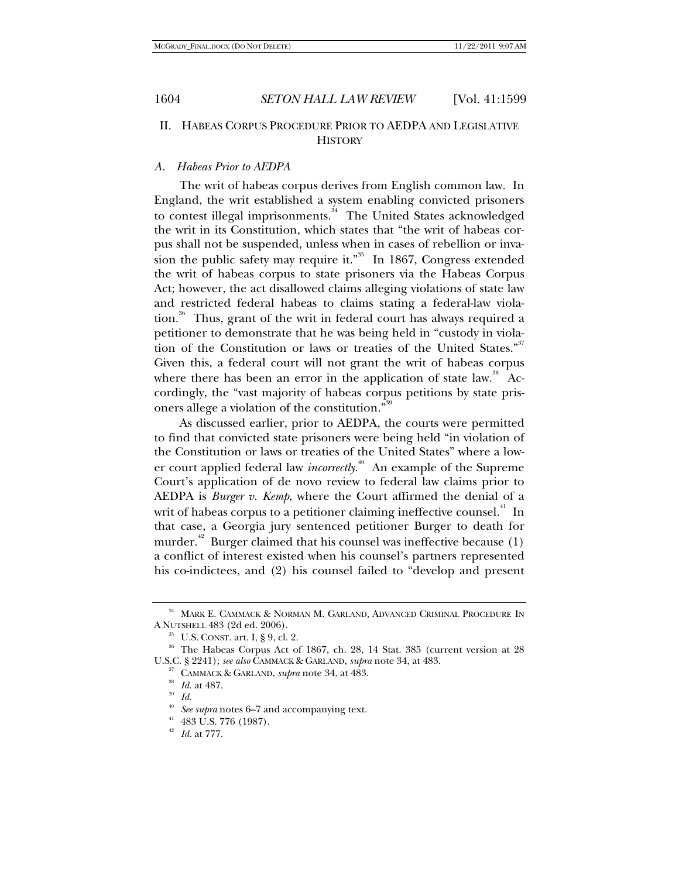## II. HABEAS CORPUS PROCEDURE PRIOR TO AEDPA AND LEGISLATIVE **HISTORY**

#### *A. Habeas Prior to AEDPA*

The writ of habeas corpus derives from English common law. In England, the writ established a system enabling convicted prisoners to contest illegal imprisonments.<sup>34</sup> The United States acknowledged the writ in its Constitution, which states that "the writ of habeas corpus shall not be suspended, unless when in cases of rebellion or invasion the public safety may require it."<sup>35</sup> In 1867, Congress extended the writ of habeas corpus to state prisoners via the Habeas Corpus Act; however, the act disallowed claims alleging violations of state law and restricted federal habeas to claims stating a federal-law violation.<sup>36</sup> Thus, grant of the writ in federal court has always required a petitioner to demonstrate that he was being held in "custody in violation of the Constitution or laws or treaties of the United States."<sup>37</sup> Given this, a federal court will not grant the writ of habeas corpus where there has been an error in the application of state law.<sup>38</sup> Accordingly, the "vast majority of habeas corpus petitions by state prisoners allege a violation of the constitution."<sup>39</sup>

As discussed earlier, prior to AEDPA, the courts were permitted to find that convicted state prisoners were being held "in violation of the Constitution or laws or treaties of the United States" where a lower court applied federal law *incorrectly*.<sup>40</sup> An example of the Supreme Court's application of de novo review to federal law claims prior to AEDPA is *Burger v. Kemp*, where the Court affirmed the denial of a writ of habeas corpus to a petitioner claiming ineffective counsel.<sup>41</sup> In that case, a Georgia jury sentenced petitioner Burger to death for murder.<sup> $42$ </sup> Burger claimed that his counsel was ineffective because (1) a conflict of interest existed when his counsel's partners represented his co-indictees, and (2) his counsel failed to "develop and present

 $^{34}$  MARK E. CAMMACK & NORMAN M. GARLAND, ADVANCED CRIMINAL PROCEDURE IN A NUTSHELL 483 (2d ed. 2006).

<sup>A</sup> NUTSHELL 483 (2d ed. 2006). 35 U.S. CONST. art. I, § 9, cl. 2. 36 The Habeas Corpus Act of 1867, ch. 28, 14 Stat. 385 (current version at 28 U.S.C. § 2241); *see also* CAMMACK & GARLAND, *supra* note 34, at 483.<br><sup>37</sup> CAMMACK & GARLAND, *supra* note 34, at 483.<br><sup>38</sup> *Id.* at 487.<br>*39 Id.* 

<sup>&</sup>lt;sup>40</sup> See supra notes 6–7 and accompanying text.<br><sup>41</sup> 483 U.S. 776 (1987).

<sup>42</sup> *Id.* at 777.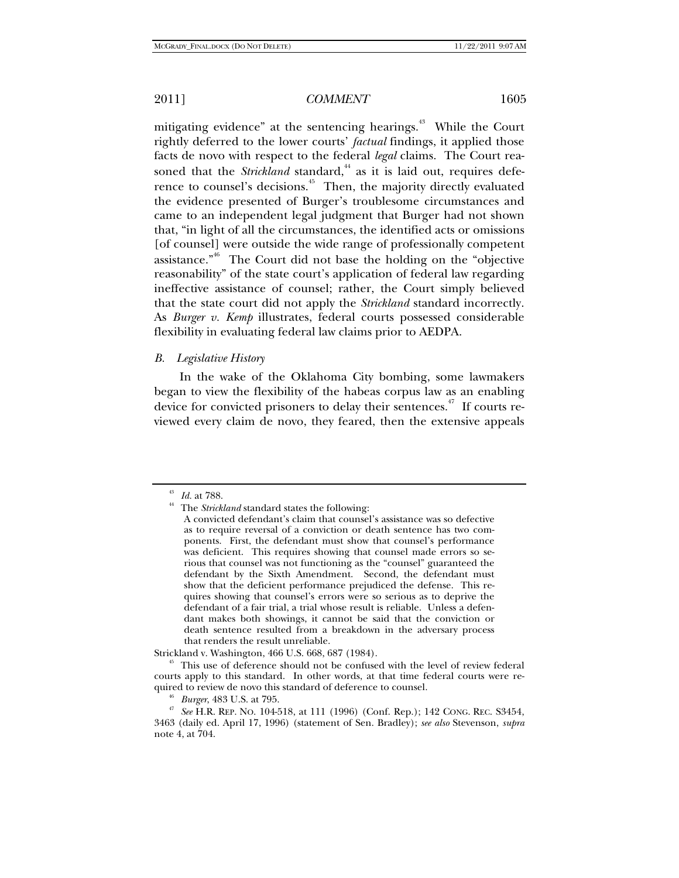mitigating evidence" at the sentencing hearings.<sup>43</sup> While the Court rightly deferred to the lower courts' *factual* findings, it applied those facts de novo with respect to the federal *legal* claims. The Court reasoned that the *Strickland* standard,<sup>44</sup> as it is laid out, requires deference to counsel's decisions.<sup>45</sup> Then, the majority directly evaluated the evidence presented of Burger's troublesome circumstances and came to an independent legal judgment that Burger had not shown that, "in light of all the circumstances, the identified acts or omissions [of counsel] were outside the wide range of professionally competent assistance. $n_{\text{46}}$  The Court did not base the holding on the "objective" reasonability" of the state court's application of federal law regarding ineffective assistance of counsel; rather, the Court simply believed that the state court did not apply the *Strickland* standard incorrectly. As *Burger v. Kemp* illustrates, federal courts possessed considerable flexibility in evaluating federal law claims prior to AEDPA.

#### *B. Legislative History*

In the wake of the Oklahoma City bombing, some lawmakers began to view the flexibility of the habeas corpus law as an enabling device for convicted prisoners to delay their sentences.<sup> $47$ </sup> If courts reviewed every claim de novo, they feared, then the extensive appeals

 $\stackrel{43}{4}$  *Id.* at 788. <br><sup>44</sup> The *Strickland* standard states the following:

A convicted defendant's claim that counsel's assistance was so defective as to require reversal of a conviction or death sentence has two components. First, the defendant must show that counsel's performance was deficient. This requires showing that counsel made errors so serious that counsel was not functioning as the "counsel" guaranteed the defendant by the Sixth Amendment. Second, the defendant must show that the deficient performance prejudiced the defense. This requires showing that counsel's errors were so serious as to deprive the defendant of a fair trial, a trial whose result is reliable. Unless a defendant makes both showings, it cannot be said that the conviction or death sentence resulted from a breakdown in the adversary process that renders the result unreliable.

Strickland v. Washington, 466 U.S. 668, 687 (1984). 45 This use of deference should not be confused with the level of review federal courts apply to this standard. In other words, at that time federal courts were re-

<sup>&</sup>lt;sup>46</sup> *Burger*, 483 U.S. at 795.<br><sup>47</sup> *See* H.R. REP. No. 104-518, at 111 (1996) (Conf. Rep.); 142 CONG. REC. S3454, 3463 (daily ed. April 17, 1996) (statement of Sen. Bradley); *see also* Stevenson, *supra*  note 4, at 704.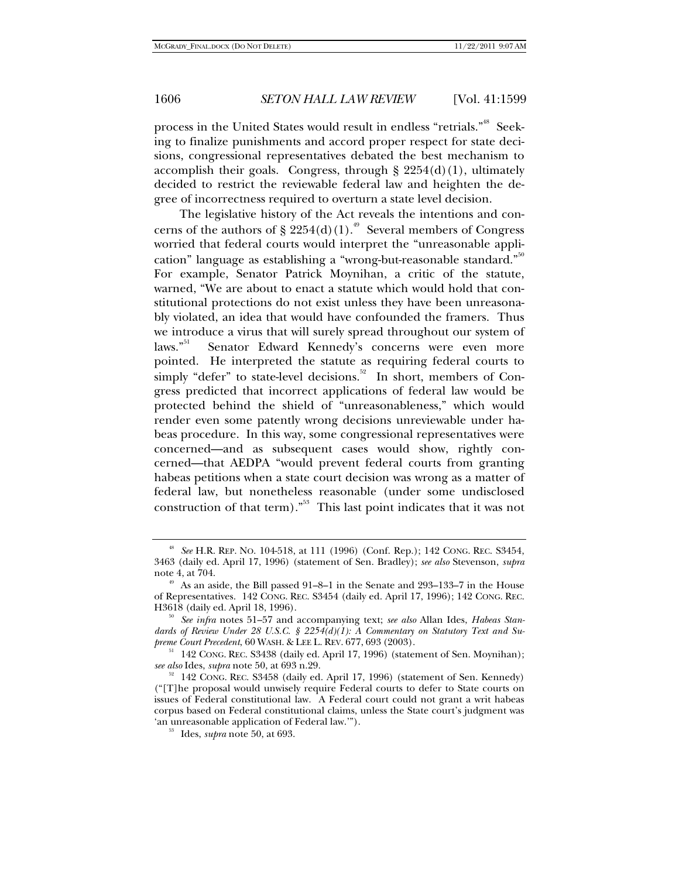process in the United States would result in endless "retrials."<sup>48</sup> Seeking to finalize punishments and accord proper respect for state decisions, congressional representatives debated the best mechanism to accomplish their goals. Congress, through  $\S 2254(d)(1)$ , ultimately decided to restrict the reviewable federal law and heighten the degree of incorrectness required to overturn a state level decision.

The legislative history of the Act reveals the intentions and concerns of the authors of § 2254(d)(1).<sup>49</sup> Several members of Congress worried that federal courts would interpret the "unreasonable application" language as establishing a "wrong-but-reasonable standard."<sup>50</sup> For example, Senator Patrick Moynihan, a critic of the statute, warned, "We are about to enact a statute which would hold that constitutional protections do not exist unless they have been unreasonably violated, an idea that would have confounded the framers. Thus we introduce a virus that will surely spread throughout our system of laws."<sup>51</sup> Senator Edward Kennedy's concerns were even more pointed. He interpreted the statute as requiring federal courts to  $\frac{1}{2}$  simply "defer" to state-level decisions.<sup>52</sup> In short, members of Congress predicted that incorrect applications of federal law would be protected behind the shield of "unreasonableness," which would render even some patently wrong decisions unreviewable under habeas procedure. In this way, some congressional representatives were concerned—and as subsequent cases would show, rightly concerned—that AEDPA "would prevent federal courts from granting habeas petitions when a state court decision was wrong as a matter of federal law, but nonetheless reasonable (under some undisclosed construction of that term)."<sup>53</sup> This last point indicates that it was not

<sup>48</sup> *See* H.R. REP. NO. 104-518, at 111 (1996) (Conf. Rep.); 142 CONG. REC. S3454, 3463 (daily ed. April 17, 1996) (statement of Sen. Bradley); *see also* Stevenson, *supra*  note 4, at 704.

<sup>&</sup>lt;sup>49</sup> As an aside, the Bill passed 91–8–1 in the Senate and 293–133–7 in the House of Representatives. 142 CONG. REC. S3454 (daily ed. April 17, 1996); 142 CONG. REC. H3618 (daily ed. April 18, 1996). 50 *See infra* notes 51–57 and accompanying text; *see also* Allan Ides, *Habeas Stan-*

dards of Review Under 28 U.S.C. § 2254(d)(1): A Commentary on Statutory Text and Su-<br>preme Court Precedent, 60 WASH. & LEE L. REV. 677, 693 (2003).

<sup>&</sup>lt;sup>51</sup> 142 Cong. Rec. S3438 (daily ed. April 17, 1996) (statement of Sen. Moynihan); *see also* Ides, *supra* note 50, at 693 n.29.

<sup>&</sup>lt;sup>52</sup> 142 CONG. REC. S3458 (daily ed. April 17, 1996) (statement of Sen. Kennedy) ("[T]he proposal would unwisely require Federal courts to defer to State courts on issues of Federal constitutional law. A Federal court could not grant a writ habeas corpus based on Federal constitutional claims, unless the State court's judgment was 'an unreasonable application of Federal law.'"). 53 Ides, *supra* note 50, at 693.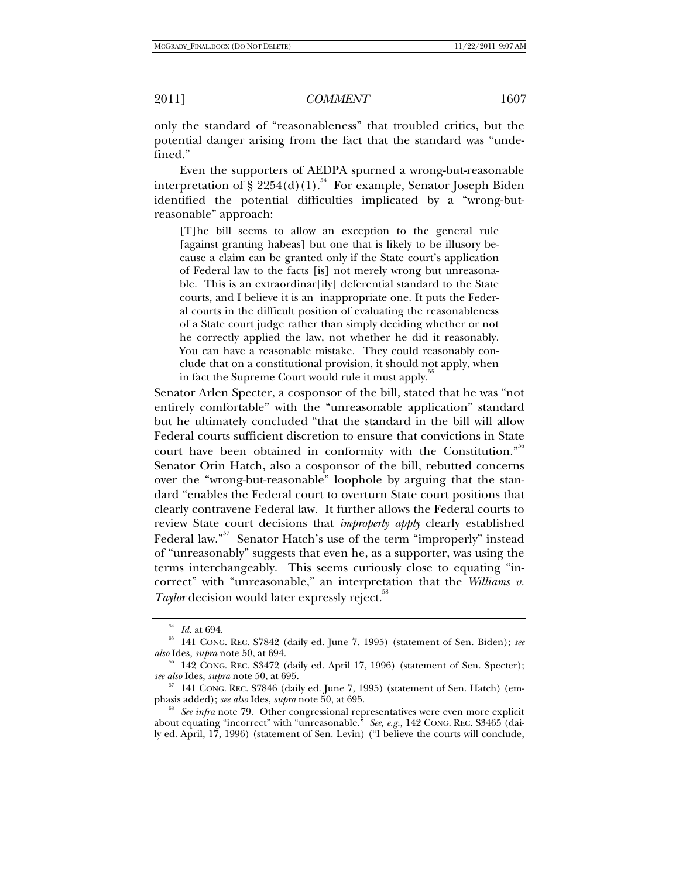only the standard of "reasonableness" that troubled critics, but the potential danger arising from the fact that the standard was "undefined."

Even the supporters of AEDPA spurned a wrong-but-reasonable interpretation of § 2254(d)(1).<sup>54</sup> For example, Senator Joseph Biden identified the potential difficulties implicated by a "wrong-butreasonable" approach:

[T]he bill seems to allow an exception to the general rule [against granting habeas] but one that is likely to be illusory because a claim can be granted only if the State court's application of Federal law to the facts [is] not merely wrong but unreasonable. This is an extraordinar[ily] deferential standard to the State courts, and I believe it is an inappropriate one. It puts the Federal courts in the difficult position of evaluating the reasonableness of a State court judge rather than simply deciding whether or not he correctly applied the law, not whether he did it reasonably. You can have a reasonable mistake. They could reasonably conclude that on a constitutional provision, it should not apply, when in fact the Supreme Court would rule it must apply.

Senator Arlen Specter, a cosponsor of the bill, stated that he was "not entirely comfortable" with the "unreasonable application" standard but he ultimately concluded "that the standard in the bill will allow Federal courts sufficient discretion to ensure that convictions in State court have been obtained in conformity with the Constitution."<sup>56</sup> Senator Orin Hatch, also a cosponsor of the bill, rebutted concerns over the "wrong-but-reasonable" loophole by arguing that the standard "enables the Federal court to overturn State court positions that clearly contravene Federal law. It further allows the Federal courts to review State court decisions that *improperly apply* clearly established Federal law."<sup>57</sup> Senator Hatch's use of the term "improperly" instead of "unreasonably" suggests that even he, as a supporter, was using the terms interchangeably. This seems curiously close to equating "incorrect" with "unreasonable," an interpretation that the *Williams v.*   $Taylor$  decision would later expressly reject.<sup>38</sup>

<sup>54</sup> *Id.* at 694. 55 141 CONG. REC. S7842 (daily ed. June 7, 1995) (statement of Sen. Biden); *see* 

<sup>&</sup>lt;sup>56</sup> 142 CONG. REC. S3472 (daily ed. April 17, 1996) (statement of Sen. Specter); *see also* Ides, *supra* note 50, at 695.

<sup>&</sup>lt;sup>57</sup> 141 CONG. REC. S7846 (daily ed. June 7, 1995) (statement of Sen. Hatch) (em-<br>phasis added); *see also* Ides, *supra* note 50, at 695.

<sup>&</sup>lt;sup>58</sup> See infra note 79. Other congressional representatives were even more explicit about equating "incorrect" with "unreasonable." *See, e.g.*, 142 CONG. REC. S3465 (daily ed. April, 17, 1996) (statement of Sen. Levin) ("I believe the courts will conclude,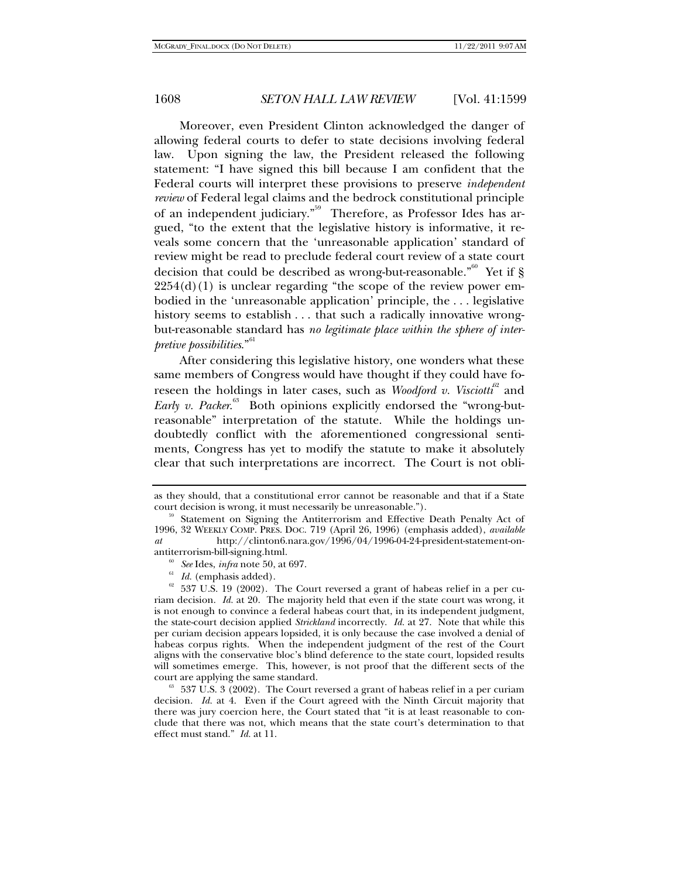Moreover, even President Clinton acknowledged the danger of allowing federal courts to defer to state decisions involving federal law. Upon signing the law, the President released the following statement: "I have signed this bill because I am confident that the Federal courts will interpret these provisions to preserve *independent review* of Federal legal claims and the bedrock constitutional principle of an independent judiciary."<sup>59</sup> Therefore, as Professor Ides has argued, "to the extent that the legislative history is informative, it reveals some concern that the 'unreasonable application' standard of review might be read to preclude federal court review of a state court decision that could be described as wrong-but-reasonable.<sup>"<sup>60</sup> Yet if §</sup>  $2254(d)(1)$  is unclear regarding "the scope of the review power embodied in the 'unreasonable application' principle, the . . . legislative history seems to establish . . . that such a radically innovative wrongbut-reasonable standard has *no legitimate place within the sphere of interpretive possibilities*."<sup>61</sup>

After considering this legislative history, one wonders what these same members of Congress would have thought if they could have foreseen the holdings in later cases, such as *Woodford v. Visciotti*<sup> $52$ </sup> and Early v. Packer.<sup>63</sup> Both opinions explicitly endorsed the "wrong-butreasonable" interpretation of the statute. While the holdings undoubtedly conflict with the aforementioned congressional sentiments, Congress has yet to modify the statute to make it absolutely clear that such interpretations are incorrect. The Court is not obli-

as they should, that a constitutional error cannot be reasonable and that if a State court decision is wrong, it must necessarily be unreasonable.").

<sup>&</sup>lt;sup>59</sup> Statement on Signing the Antiterrorism and Effective Death Penalty Act of 1996, 32 WEEKLY COMP. PRES. DOC. 719 (April 26, 1996) (emphasis added), *available at* http://clinton6.nara.gov/1996/04/1996-04-24-president-statement-on-

antiterrorism-bill-signing.html.<br><sup>60</sup> *See* Ides, *infra* note 50, at 697.<br><sup>61</sup> *Id.* (emphasis added).<br><sup>62</sup> 537 U.S. 19 (2002). The Court reversed a grant of habeas relief in a per curiam decision. *Id.* at 20. The majority held that even if the state court was wrong, it is not enough to convince a federal habeas court that, in its independent judgment, the state-court decision applied *Strickland* incorrectly. *Id.* at 27. Note that while this per curiam decision appears lopsided, it is only because the case involved a denial of habeas corpus rights. When the independent judgment of the rest of the Court aligns with the conservative bloc's blind deference to the state court, lopsided results will sometimes emerge. This, however, is not proof that the different sects of the

court are applying the same standard.<br><sup>63</sup> 537 U.S. 3 (2002). The Court reversed a grant of habeas relief in a per curiam decision. *Id.* at 4. Even if the Court agreed with the Ninth Circuit majority that there was jury coercion here, the Court stated that "it is at least reasonable to conclude that there was not, which means that the state court's determination to that effect must stand." *Id.* at 11.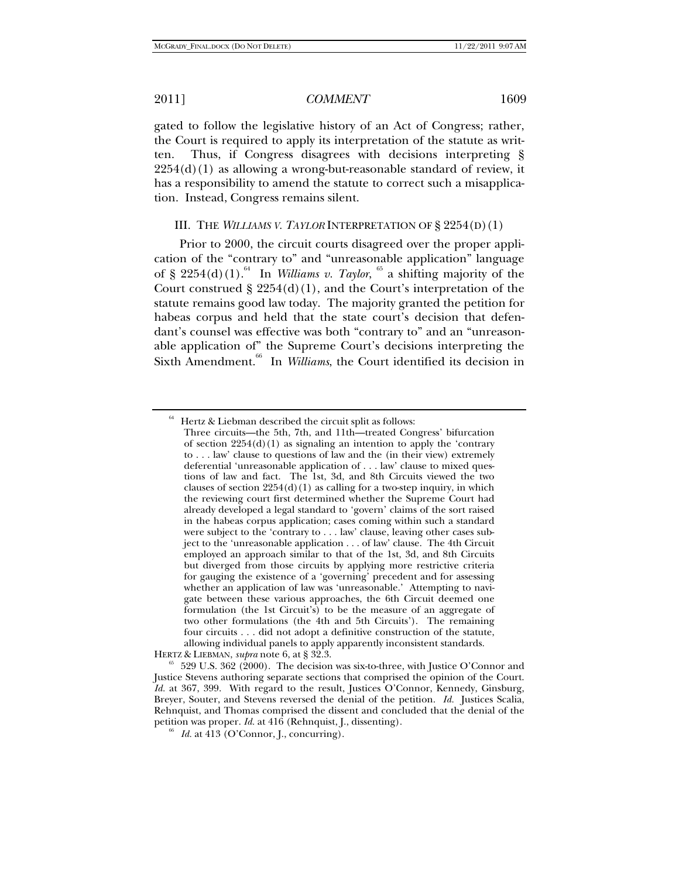gated to follow the legislative history of an Act of Congress; rather, the Court is required to apply its interpretation of the statute as written. Thus, if Congress disagrees with decisions interpreting §  $2254(d)(1)$  as allowing a wrong-but-reasonable standard of review, it has a responsibility to amend the statute to correct such a misapplication. Instead, Congress remains silent.

#### III. THE *WILLIAMS V. TAYLOR* INTERPRETATION OF § 2254(D)(1)

Prior to 2000, the circuit courts disagreed over the proper application of the "contrary to" and "unreasonable application" language of § 2254(d)(1).<sup>64</sup> In *Williams v. Taylor*, <sup>65</sup> a shifting majority of the Court construed  $\S 2254(d)(1)$ , and the Court's interpretation of the statute remains good law today. The majority granted the petition for habeas corpus and held that the state court's decision that defendant's counsel was effective was both "contrary to" and an "unreasonable application of" the Supreme Court's decisions interpreting the Sixth Amendment.<sup>66</sup> In *Williams*, the Court identified its decision in

 $64$  Hertz & Liebman described the circuit split as follows:

Three circuits—the 5th, 7th, and 11th—treated Congress' bifurcation of section  $2254(d)(1)$  as signaling an intention to apply the 'contrary to . . . law' clause to questions of law and the (in their view) extremely deferential 'unreasonable application of . . . law' clause to mixed questions of law and fact. The 1st, 3d, and 8th Circuits viewed the two clauses of section  $2254(d)(1)$  as calling for a two-step inquiry, in which the reviewing court first determined whether the Supreme Court had already developed a legal standard to 'govern' claims of the sort raised in the habeas corpus application; cases coming within such a standard were subject to the 'contrary to . . . law' clause, leaving other cases subject to the 'unreasonable application . . . of law' clause. The 4th Circuit employed an approach similar to that of the 1st, 3d, and 8th Circuits but diverged from those circuits by applying more restrictive criteria for gauging the existence of a 'governing' precedent and for assessing whether an application of law was 'unreasonable.' Attempting to navigate between these various approaches, the 6th Circuit deemed one formulation (the 1st Circuit's) to be the measure of an aggregate of two other formulations (the 4th and 5th Circuits'). The remaining four circuits . . . did not adopt a definitive construction of the statute, allowing individual panels to apply apparently inconsistent standards.

HERTZ & LIEBMAN, *supra* note 6, at § 32.3.<br><sup>65</sup> 529 U.S. 362 (2000). The decision was six-to-three, with Justice O'Connor and Justice Stevens authoring separate sections that comprised the opinion of the Court. *Id.* at 367, 399. With regard to the result, Justices O'Connor, Kennedy, Ginsburg, Breyer, Souter, and Stevens reversed the denial of the petition. *Id.* Justices Scalia, Rehnquist, and Thomas comprised the dissent and concluded that the denial of the petition was proper. *Id.* at 416 (Rehnquist, J., dissenting). 66 *Id.* at 413 (O'Connor, J., concurring).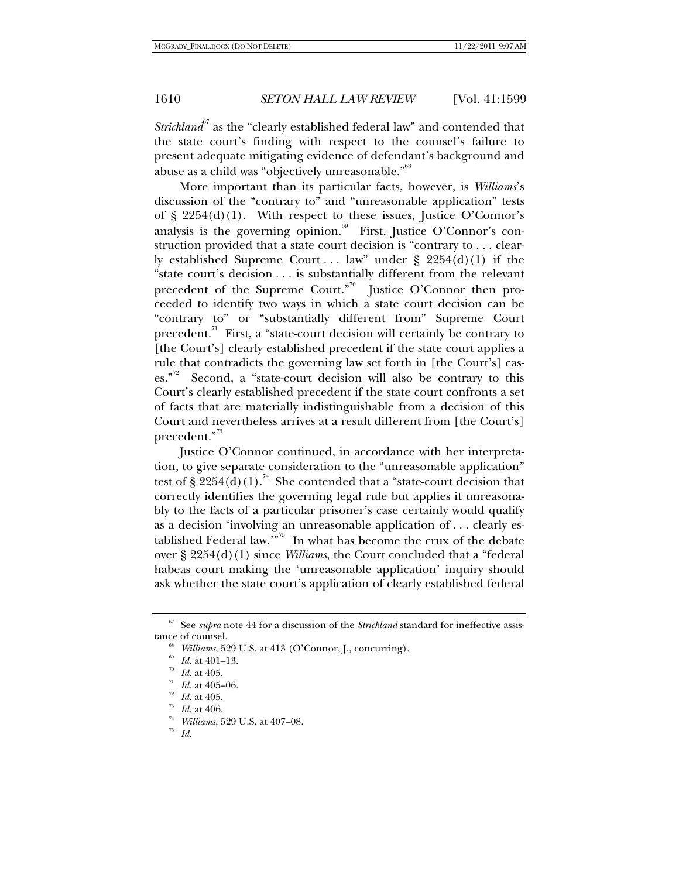*Strickland* $\delta$ <sup>7</sup> as the "clearly established federal law" and contended that the state court's finding with respect to the counsel's failure to present adequate mitigating evidence of defendant's background and abuse as a child was "objectively unreasonable."<sup>68</sup>

More important than its particular facts, however, is *Williams*'s discussion of the "contrary to" and "unreasonable application" tests of  $\S$  2254(d)(1). With respect to these issues, Justice O'Connor's analysis is the governing opinion.<sup>69</sup> First, Justice O'Connor's construction provided that a state court decision is "contrary to . . . clearly established Supreme Court ... law" under  $\S$  2254(d)(1) if the "state court's decision . . . is substantially different from the relevant precedent of the Supreme Court."<sup>70</sup> Justice O'Connor then proceeded to identify two ways in which a state court decision can be "contrary to" or "substantially different from" Supreme Court precedent. $i<sup>71</sup>$  First, a "state-court decision will certainly be contrary to [the Court's] clearly established precedent if the state court applies a rule that contradicts the governing law set forth in [the Court's] cases."<sup>72</sup> Second, a "state-court decision will also be contrary to this Court's clearly established precedent if the state court confronts a set of facts that are materially indistinguishable from a decision of this Court and nevertheless arrives at a result different from [the Court's] precedent."<sup>73</sup>

Justice O'Connor continued, in accordance with her interpretation, to give separate consideration to the "unreasonable application" test of § 2254(d)(1).<sup>74</sup> She contended that a "state-court decision that correctly identifies the governing legal rule but applies it unreasonably to the facts of a particular prisoner's case certainly would qualify as a decision 'involving an unreasonable application of . . . clearly established Federal law.<sup> $m<sup>75</sup>$ </sup> In what has become the crux of the debate over § 2254(d)(1) since *Williams*, the Court concluded that a "federal habeas court making the 'unreasonable application' inquiry should ask whether the state court's application of clearly established federal

<sup>67</sup> See *supra* note 44 for a discussion of the *Strickland* standard for ineffective assis-

tance of counsel.<br>
<sup>68</sup> *Williams*, 529 U.S. at 413 (O'Connor, J., concurring).<br>
<sup>69</sup> *Id.* at 401–13.<br>
<sup>70</sup> *Id.* at 405.<br>
<sup>71</sup> *Id.* at 405-06.<br>
<sup>72</sup> *Id.* at 405.<br>
<sup>73</sup> *Id.* at 406.<br>
<sup>73</sup> *Id.* at 406.<br>
<sup>74</sup> *Williams*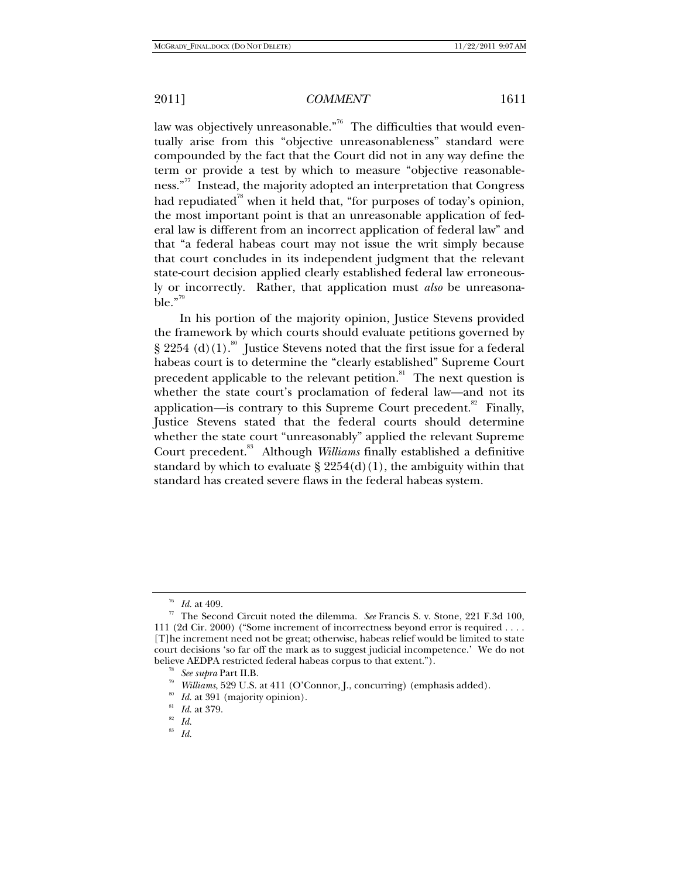law was objectively unreasonable."<sup>76</sup> The difficulties that would eventually arise from this "objective unreasonableness" standard were compounded by the fact that the Court did not in any way define the term or provide a test by which to measure "objective reasonableness.<sup>"77</sup> Instead, the majority adopted an interpretation that Congress had repudiated<sup>78</sup> when it held that, "for purposes of today's opinion, the most important point is that an unreasonable application of federal law is different from an incorrect application of federal law" and that "a federal habeas court may not issue the writ simply because that court concludes in its independent judgment that the relevant state-court decision applied clearly established federal law erroneously or incorrectly. Rather, that application must *also* be unreasona $ble.^{"79}$ 

In his portion of the majority opinion, Justice Stevens provided the framework by which courts should evaluate petitions governed by § 2254 (d)(1).<sup>80</sup> Justice Stevens noted that the first issue for a federal habeas court is to determine the "clearly established" Supreme Court precedent applicable to the relevant petition.<sup>81</sup> The next question is whether the state court's proclamation of federal law—and not its application—is contrary to this Supreme Court precedent.<sup>82</sup> Finally, Justice Stevens stated that the federal courts should determine whether the state court "unreasonably" applied the relevant Supreme Court precedent.<sup>83</sup> Although *Williams* finally established a definitive standard by which to evaluate  $\S 2254(d)(1)$ , the ambiguity within that standard has created severe flaws in the federal habeas system.

<sup>&</sup>lt;sup>76</sup> *Id.* at 409.<br><sup>77</sup> The Second Circuit noted the dilemma. *See* Francis S. v. Stone, 221 F.3d 100, 111 (2d Cir. 2000) ("Some increment of incorrectness beyond error is required . . . . [T]he increment need not be great; otherwise, habeas relief would be limited to state court decisions 'so far off the mark as to suggest judicial incompetence.' We do not

believe AEDPA restricted federal habeas corpus to that extent.").<br>
<sup>78</sup> See supra Part II.B.<br>
<sup>79</sup> Williams, 529 U.S. at 411 (O'Connor, J., concurring) (emphasis added).<br>
<sup>80</sup> Id. at 391 (majority opinion).<br>
<sup>81</sup> Id. at 3

<sup>83</sup> *Id.*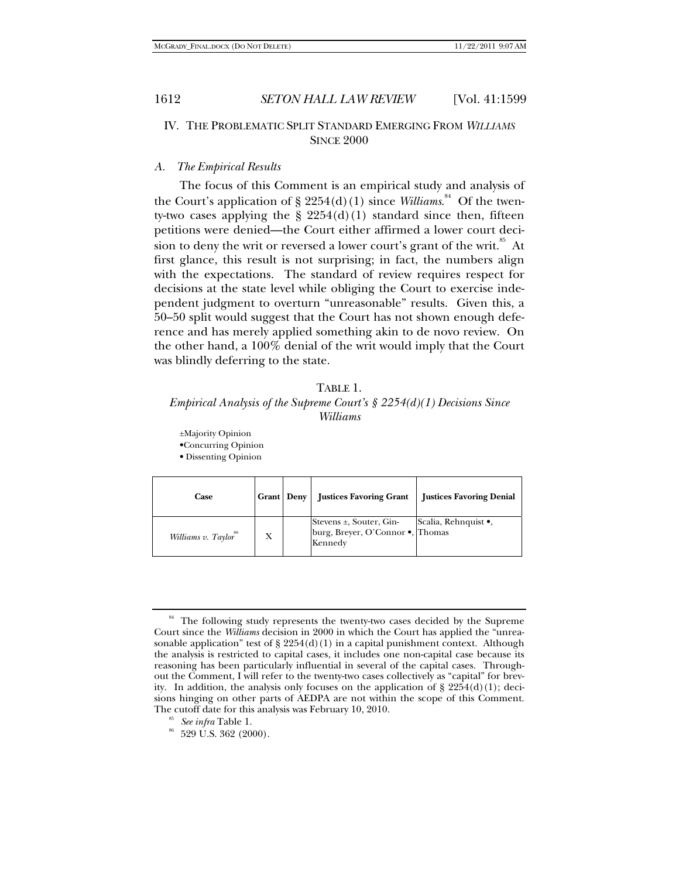## IV. THE PROBLEMATIC SPLIT STANDARD EMERGING FROM *WILLIAMS* **SINCE 2000**

#### *A. The Empirical Results*

The focus of this Comment is an empirical study and analysis of the Court's application of § 2254(d)(1) since *Williams*.<sup>84</sup> Of the twenty-two cases applying the  $\S 2254(d)(1)$  standard since then, fifteen petitions were denied—the Court either affirmed a lower court decision to deny the writ or reversed a lower court's grant of the writ.<sup>85</sup> At first glance, this result is not surprising; in fact, the numbers align with the expectations. The standard of review requires respect for decisions at the state level while obliging the Court to exercise independent judgment to overturn "unreasonable" results. Given this, a 50–50 split would suggest that the Court has not shown enough deference and has merely applied something akin to de novo review. On the other hand, a 100% denial of the writ would imply that the Court was blindly deferring to the state.

### TABLE 1. *Empirical Analysis of the Supreme Court's § 2254(d)(1) Decisions Since Williams*

±Majority Opinion

•Concurring Opinion

• Dissenting Opinion

| Case                             | Grant Deny | <b>Justices Favoring Grant</b>                                              | <b>Justices Favoring Denial</b> |
|----------------------------------|------------|-----------------------------------------------------------------------------|---------------------------------|
| Williams v. Taylor <sup>86</sup> | Х          | Stevens $\pm$ , Souter, Gin-<br>burg, Breyer, O'Connor ., Thomas<br>Kennedy | Scalia, Rehnquist •,            |

<sup>&</sup>lt;sup>84</sup> The following study represents the twenty-two cases decided by the Supreme Court since the *Williams* decision in 2000 in which the Court has applied the "unreasonable application" test of  $\S 2254(d)(1)$  in a capital punishment context. Although the analysis is restricted to capital cases, it includes one non-capital case because its reasoning has been particularly influential in several of the capital cases. Throughout the Comment, I will refer to the twenty-two cases collectively as "capital" for brevity. In addition, the analysis only focuses on the application of  $\S 2254(d)(1)$ ; decisions hinging on other parts of AEDPA are not within the scope of this Comment. The cutoff date for this analysis was February 10, 2010.<br><sup>85</sup> *See infra* Table 1.<br><sup>86</sup> 529 U.S. 362 (2000).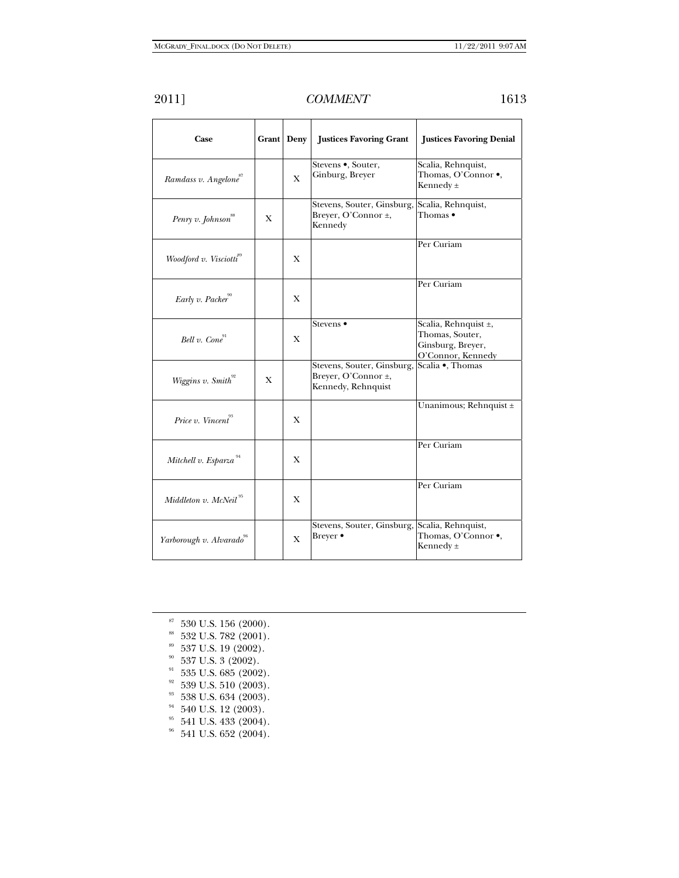| 2011] | COMMENT | 1613 |
|-------|---------|------|
|       |         |      |

| Case                                 |   | Grant Deny   | <b>Justices Favoring Grant</b>                                                           | <b>Justices Favoring Denial</b>                                                   |
|--------------------------------------|---|--------------|------------------------------------------------------------------------------------------|-----------------------------------------------------------------------------------|
| Ramdass v. Angelone <sup>87</sup>    |   | $\mathbf{X}$ | Stevens •, Souter,<br>Ginburg, Breyer                                                    | Scalia, Rehnquist,<br>Thomas, O'Connor .,<br>Kennedy ±                            |
| Penry v. Johnson                     | X |              | Stevens, Souter, Ginsburg,<br>Breyer, O'Connor ±,<br>Kennedy                             | Scalia, Rehnquist,<br>Thomas •                                                    |
| Woodford v. Visciotti <sup>89</sup>  |   | X            |                                                                                          | Per Curiam                                                                        |
| Early v. Packer                      |   | X            |                                                                                          | Per Curiam                                                                        |
| Bell v. Cone <sup>91</sup>           |   | X            | Stevens •                                                                                | Scalia, Rehnquist ±,<br>Thomas, Souter,<br>Ginsburg, Breyer,<br>O'Connor, Kennedy |
| Wiggins v. Smith <sup>92</sup>       | X |              | Stevens, Souter, Ginsburg, Scalia ., Thomas<br>Breyer, O'Connor ±,<br>Kennedy, Rehnquist |                                                                                   |
| Price v. Vincent <sup>93</sup>       |   | X            |                                                                                          | Unanimous; Rehnquist ±                                                            |
| Mitchell v. Esparza <sup>94</sup>    |   | X            |                                                                                          | Per Curiam                                                                        |
| Middleton v. McNeil <sup>95</sup>    |   | X            |                                                                                          | Per Curiam                                                                        |
| Yarborough v. Alvarado <sup>96</sup> |   | X            | Stevens, Souter, Ginsburg, Scalia, Rehnquist,<br>Breyer •                                | Thomas, O'Connor .<br>Kennedy $\pm$                                               |

- $^{\text{\tiny{87}}}$  530 U.S. 156 (2000).
- $88\,$  532 U.S. 782 (2001).
- $352$  U.S. 19 (2002).
- $30\,$  537 U.S. 3 (2002).
- $91\,$  535 U.S. 685 (2002).
- $92$  539 U.S. 510 (2003).
- $93$  538 U.S. 634 (2003).
- $^{94}$  540 U.S. 12 (2003).
- $95$  541 U.S. 433 (2004).
- $^{96}\,$  541 U.S. 652 (2004).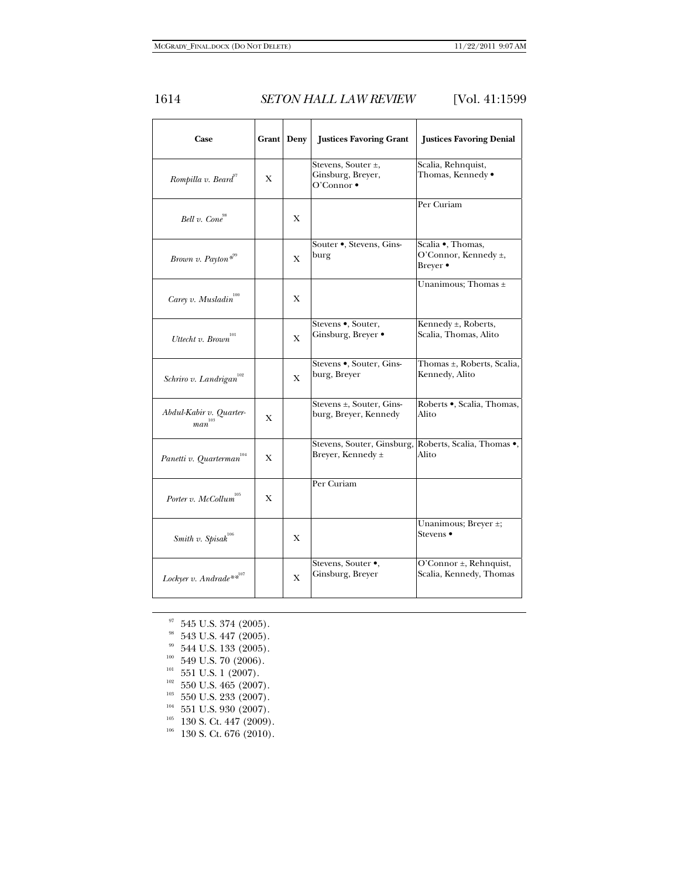| Case                                  |   | Grant Deny   | <b>Justices Favoring Grant</b>                                 | <b>Justices Favoring Denial</b>                                |
|---------------------------------------|---|--------------|----------------------------------------------------------------|----------------------------------------------------------------|
| Rompilla v. Beard"                    | X |              | Stevens, Souter ±,<br>Ginsburg, Breyer,<br>$O'Connect \bullet$ | Scalia, Rehnquist,<br>Thomas, Kennedy .                        |
| Bell v. Cone <sup>98</sup>            |   | X            |                                                                | Per Curiam                                                     |
| Brown v. Payton*"                     |   | $\mathbf{X}$ | Souter . Stevens, Gins-<br>burg                                | Scalia ·, Thomas,<br>O'Connor, Kennedy ±,<br>Breyer •          |
| Carey v. Musladin $^{^{100}}$         |   | X            |                                                                | Unanimous; Thomas ±                                            |
| Uttecht v. Brown                      |   | X            | Stevens ., Souter,<br>Ginsburg, Breyer .                       | Kennedy ±, Roberts,<br>Scalia, Thomas, Alito                   |
| Schriro v. Landrigan <sup>102</sup>   |   | $\mathbf{X}$ | Stevens ., Souter, Gins-<br>burg, Breyer                       | Thomas ±, Roberts, Scalia,<br>Kennedy, Alito                   |
| Abdul-Kabir v. Quarter-<br>103<br>man | X |              | Stevens ±, Souter, Gins-<br>burg, Breyer, Kennedy              | Roberts ·, Scalia, Thomas,<br>Alito                            |
| Panetti v. Quarterman $^{^{104}}$     | X |              | Breyer, Kennedy ±                                              | Stevens, Souter, Ginsburg, Roberts, Scalia, Thomas .,<br>Alito |
| Porter v. McCollum                    | X |              | Per Curiam                                                     |                                                                |
| Smith v. Spisa $k^{106}$              |   | X            |                                                                | Unanimous; Breyer ±;<br>Stevens ●                              |
| Lockyer v. Andrade $**^{107}$         |   | X            | Stevens, Souter .,<br>Ginsburg, Breyer                         | O'Connor ±, Rehnquist,<br>Scalia, Kennedy, Thomas              |

- 
- $^{97}$  545 U.S. 374 (2005).<br><sup>98</sup> 543 U.S. 447 (2005).
- 
- 
- 
- 
- 
- 
- 99 544 U.S. 133 (2005).<br>
<sup>100</sup> 549 U.S. 70 (2006).<br>
<sup>101</sup> 551 U.S. 1 (2007).<br>
<sup>102</sup> 550 U.S. 465 (2007).<br>
<sup>103</sup> 550 U.S. 233 (2007).<br>
<sup>104</sup> 551 U.S. 930 (2007).<br>
<sup>105</sup> 130 S. Ct. 447 (2009).<br>
<sup>106</sup> 130 S. Ct. 676 (2010).
-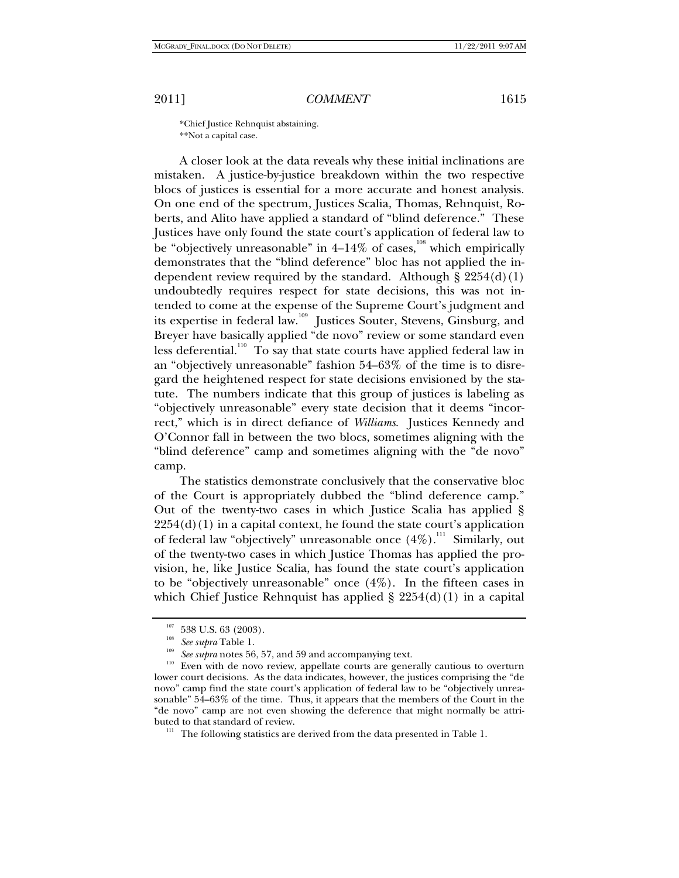\*Chief Justice Rehnquist abstaining. \*\*Not a capital case.

A closer look at the data reveals why these initial inclinations are mistaken. A justice-by-justice breakdown within the two respective blocs of justices is essential for a more accurate and honest analysis. On one end of the spectrum, Justices Scalia, Thomas, Rehnquist, Roberts, and Alito have applied a standard of "blind deference." These Justices have only found the state court's application of federal law to be "objectively unreasonable" in  $4-14\%$  of cases,<sup>108</sup> which empirically demonstrates that the "blind deference" bloc has not applied the independent review required by the standard. Although  $\S 2254(d)(1)$ undoubtedly requires respect for state decisions, this was not intended to come at the expense of the Supreme Court's judgment and its expertise in federal law.<sup>109</sup> Justices Souter, Stevens, Ginsburg, and Breyer have basically applied "de novo" review or some standard even less deferential.<sup>110</sup> To say that state courts have applied federal law in an "objectively unreasonable" fashion 54–63% of the time is to disregard the heightened respect for state decisions envisioned by the statute. The numbers indicate that this group of justices is labeling as "objectively unreasonable" every state decision that it deems "incorrect," which is in direct defiance of *Williams*. Justices Kennedy and O'Connor fall in between the two blocs, sometimes aligning with the "blind deference" camp and sometimes aligning with the "de novo" camp.

The statistics demonstrate conclusively that the conservative bloc of the Court is appropriately dubbed the "blind deference camp." Out of the twenty-two cases in which Justice Scalia has applied §  $2254(d)(1)$  in a capital context, he found the state court's application of federal law "objectively" unreasonable once  $(4\%)$ .<sup>111</sup> Similarly, out of the twenty-two cases in which Justice Thomas has applied the provision, he, like Justice Scalia, has found the state court's application to be "objectively unreasonable" once (4%). In the fifteen cases in which Chief Justice Rehnquist has applied  $\S 2254(d)(1)$  in a capital

<sup>&</sup>lt;sup>107</sup> 538 U.S. 63 (2003).<br><sup>108</sup> *See supra* Table 1.<br><sup>109</sup> *See supra* notes 56, 57, and 59 and accompanying text.<br><sup>110</sup> Even with de novo review, appellate courts are generally cautious to overturn lower court decisions. As the data indicates, however, the justices comprising the "de novo" camp find the state court's application of federal law to be "objectively unreasonable" 54–63% of the time. Thus, it appears that the members of the Court in the "de novo" camp are not even showing the deference that might normally be attributed to that standard of review.  $111$  The following statistics are derived from the data presented in Table 1.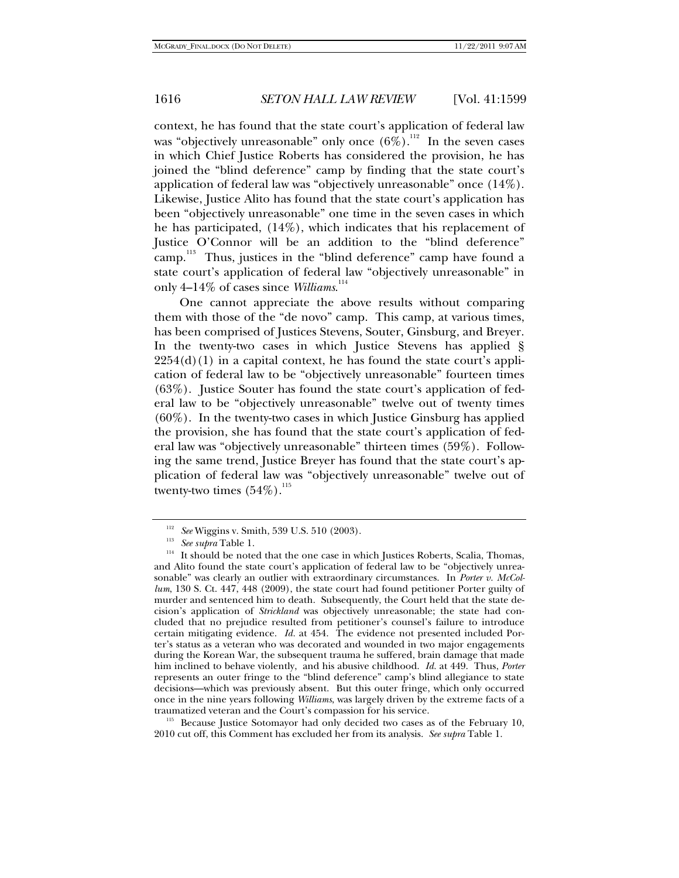context, he has found that the state court's application of federal law was "objectively unreasonable" only once  $(6\%)$ .<sup>112</sup> In the seven cases in which Chief Justice Roberts has considered the provision, he has joined the "blind deference" camp by finding that the state court's application of federal law was "objectively unreasonable" once (14%). Likewise, Justice Alito has found that the state court's application has been "objectively unreasonable" one time in the seven cases in which he has participated, (14%), which indicates that his replacement of Justice O'Connor will be an addition to the "blind deference" camp.<sup>113</sup> Thus, justices in the "blind deference" camp have found a state court's application of federal law "objectively unreasonable" in only 4–14% of cases since *Williams*.<sup>114</sup>

One cannot appreciate the above results without comparing them with those of the "de novo" camp. This camp, at various times, has been comprised of Justices Stevens, Souter, Ginsburg, and Breyer. In the twenty-two cases in which Justice Stevens has applied §  $2254(d)(1)$  in a capital context, he has found the state court's application of federal law to be "objectively unreasonable" fourteen times (63%). Justice Souter has found the state court's application of federal law to be "objectively unreasonable" twelve out of twenty times  $(60\%)$ . In the twenty-two cases in which Justice Ginsburg has applied the provision, she has found that the state court's application of federal law was "objectively unreasonable" thirteen times (59%). Following the same trend, Justice Breyer has found that the state court's application of federal law was "objectively unreasonable" twelve out of twenty-two times  $(54\%)$ .<sup>115</sup>

traumatized veteran and the Court's compassion for his service.<br><sup>115</sup> Because Justice Sotomayor had only decided two cases as of the February 10, 2010 cut off, this Comment has excluded her from its analysis. *See supra* Table 1.

<sup>&</sup>lt;sup>112</sup> See Wiggins v. Smith, 539 U.S. 510 (2003).<br><sup>113</sup> See supra Table 1.<br><sup>114</sup> It should be noted that the one case in which Justices Roberts, Scalia, Thomas, and Alito found the state court's application of federal law to be "objectively unreasonable" was clearly an outlier with extraordinary circumstances. In *Porter v. McCollum*, 130 S. Ct. 447, 448 (2009), the state court had found petitioner Porter guilty of murder and sentenced him to death. Subsequently, the Court held that the state decision's application of *Strickland* was objectively unreasonable; the state had concluded that no prejudice resulted from petitioner's counsel's failure to introduce certain mitigating evidence. *Id.* at 454. The evidence not presented included Porter's status as a veteran who was decorated and wounded in two major engagements during the Korean War, the subsequent trauma he suffered, brain damage that made him inclined to behave violently, and his abusive childhood. *Id.* at 449. Thus, *Porter* represents an outer fringe to the "blind deference" camp's blind allegiance to state decisions—which was previously absent. But this outer fringe, which only occurred once in the nine years following *Williams*, was largely driven by the extreme facts of a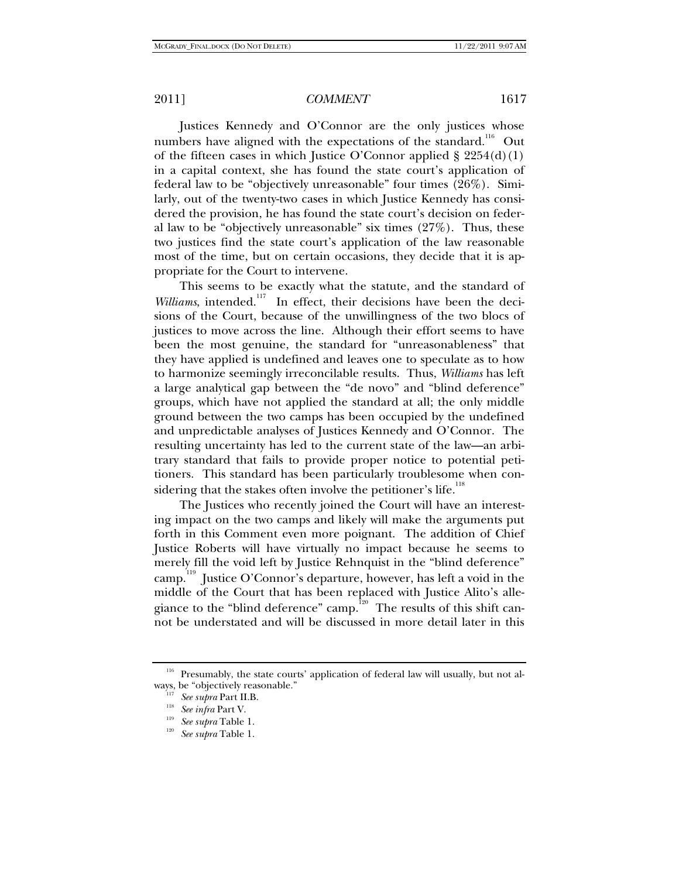Justices Kennedy and O'Connor are the only justices whose numbers have aligned with the expectations of the standard.<sup>116</sup> Out of the fifteen cases in which Justice O'Connor applied  $\S 2254(d)(1)$ in a capital context, she has found the state court's application of federal law to be "objectively unreasonable" four times (26%). Similarly, out of the twenty-two cases in which Justice Kennedy has considered the provision, he has found the state court's decision on federal law to be "objectively unreasonable" six times (27%). Thus, these two justices find the state court's application of the law reasonable most of the time, but on certain occasions, they decide that it is appropriate for the Court to intervene.

This seems to be exactly what the statute, and the standard of *Williams*, intended.<sup>117</sup> In effect, their decisions have been the decisions of the Court, because of the unwillingness of the two blocs of justices to move across the line. Although their effort seems to have been the most genuine, the standard for "unreasonableness" that they have applied is undefined and leaves one to speculate as to how to harmonize seemingly irreconcilable results. Thus, *Williams* has left a large analytical gap between the "de novo" and "blind deference" groups, which have not applied the standard at all; the only middle ground between the two camps has been occupied by the undefined and unpredictable analyses of Justices Kennedy and O'Connor. The resulting uncertainty has led to the current state of the law—an arbitrary standard that fails to provide proper notice to potential petitioners. This standard has been particularly troublesome when considering that the stakes often involve the petitioner's life.<sup>118</sup>

The Justices who recently joined the Court will have an interesting impact on the two camps and likely will make the arguments put forth in this Comment even more poignant. The addition of Chief Justice Roberts will have virtually no impact because he seems to merely fill the void left by Justice Rehnquist in the "blind deference" camp.119 Justice O'Connor's departure, however, has left a void in the middle of the Court that has been replaced with Justice Alito's allegiance to the "blind deference" camp.<sup>120</sup> The results of this shift cannot be understated and will be discussed in more detail later in this

 $116$  Presumably, the state courts' application of federal law will usually, but not always, be "objectively reasonable."

ways, be "objectively reasonable." 117 *See supra* Part II.B. 118 *See infra* Part V. 119 *See supra* Table 1. 120 *See supra* Table 1.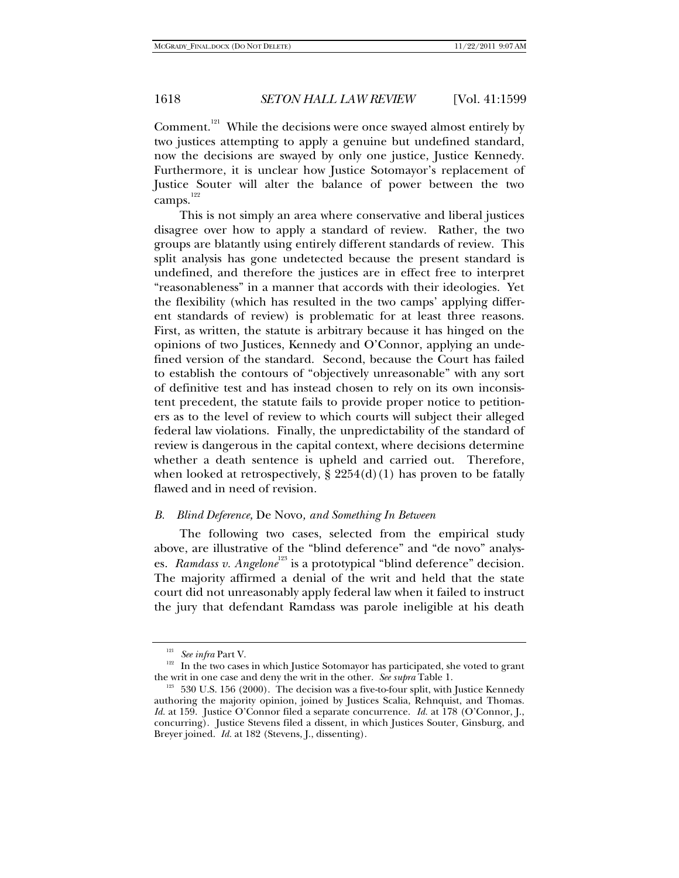Comment.<sup>121</sup> While the decisions were once swayed almost entirely by two justices attempting to apply a genuine but undefined standard, now the decisions are swayed by only one justice, Justice Kennedy. Furthermore, it is unclear how Justice Sotomayor's replacement of Justice Souter will alter the balance of power between the two camps.<sup>122</sup>

This is not simply an area where conservative and liberal justices disagree over how to apply a standard of review. Rather, the two groups are blatantly using entirely different standards of review. This split analysis has gone undetected because the present standard is undefined, and therefore the justices are in effect free to interpret "reasonableness" in a manner that accords with their ideologies. Yet the flexibility (which has resulted in the two camps' applying different standards of review) is problematic for at least three reasons. First, as written, the statute is arbitrary because it has hinged on the opinions of two Justices, Kennedy and O'Connor, applying an undefined version of the standard. Second, because the Court has failed to establish the contours of "objectively unreasonable" with any sort of definitive test and has instead chosen to rely on its own inconsistent precedent, the statute fails to provide proper notice to petitioners as to the level of review to which courts will subject their alleged federal law violations. Finally, the unpredictability of the standard of review is dangerous in the capital context, where decisions determine whether a death sentence is upheld and carried out. Therefore, when looked at retrospectively,  $\S 2254(d)(1)$  has proven to be fatally flawed and in need of revision.

### *B. Blind Deference,* De Novo*, and Something In Between*

The following two cases, selected from the empirical study above, are illustrative of the "blind deference" and "de novo" analyses. *Ramdass v. Angelone*<sup>123</sup> is a prototypical "blind deference" decision. The majority affirmed a denial of the writ and held that the state court did not unreasonably apply federal law when it failed to instruct the jury that defendant Ramdass was parole ineligible at his death

<sup>&</sup>lt;sup>121</sup> See *infra* Part V.<br><sup>122</sup> In the two cases in which Justice Sotomayor has participated, she voted to grant the writ in one case and deny the writ in the other. *See supra* Table 1.<br><sup>123</sup> 530 U.S. 156 (2000). The decision was a five-to-four split, with Justice Kennedy

authoring the majority opinion, joined by Justices Scalia, Rehnquist, and Thomas. *Id.* at 159. Justice O'Connor filed a separate concurrence. *Id.* at 178 (O'Connor, J., concurring). Justice Stevens filed a dissent, in which Justices Souter, Ginsburg, and Breyer joined. *Id.* at 182 (Stevens, J., dissenting).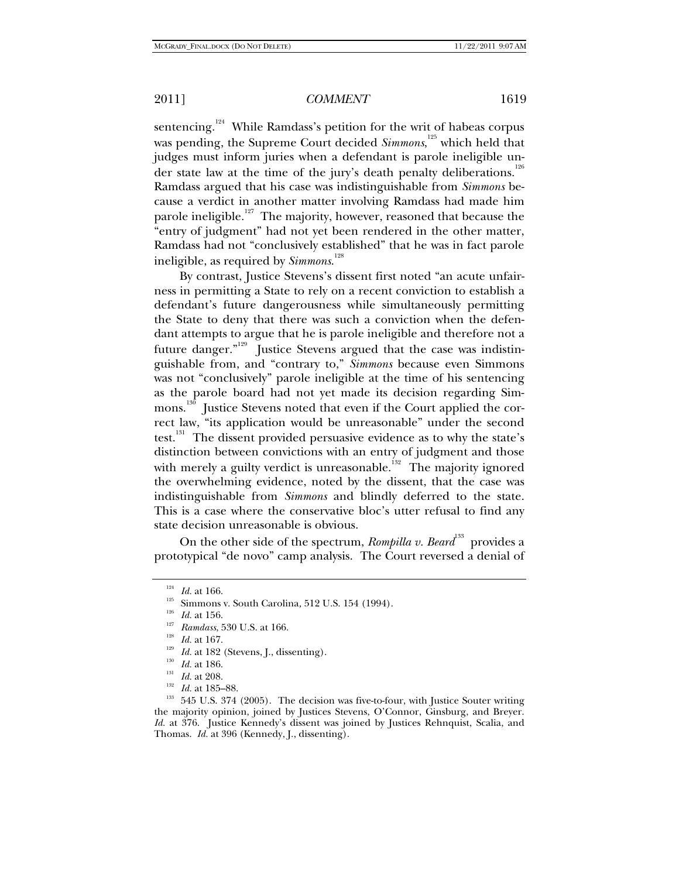sentencing.<sup>124</sup> While Ramdass's petition for the writ of habeas corpus was pending, the Supreme Court decided *Simmons*, 125 which held that judges must inform juries when a defendant is parole ineligible under state law at the time of the jury's death penalty deliberations.<sup>126</sup> Ramdass argued that his case was indistinguishable from *Simmons* because a verdict in another matter involving Ramdass had made him parole ineligible.<sup>127</sup> The majority, however, reasoned that because the "entry of judgment" had not yet been rendered in the other matter, Ramdass had not "conclusively established" that he was in fact parole ineligible, as required by *Simmons*. 128

By contrast, Justice Stevens's dissent first noted "an acute unfairness in permitting a State to rely on a recent conviction to establish a defendant's future dangerousness while simultaneously permitting the State to deny that there was such a conviction when the defendant attempts to argue that he is parole ineligible and therefore not a future danger."<sup>129</sup> Justice Stevens argued that the case was indistinguishable from, and "contrary to," *Simmons* because even Simmons was not "conclusively" parole ineligible at the time of his sentencing as the parole board had not yet made its decision regarding Simmons.<sup>130</sup> Justice Stevens noted that even if the Court applied the correct law, "its application would be unreasonable" under the second test.<sup>131</sup> The dissent provided persuasive evidence as to why the state's distinction between convictions with an entry of judgment and those with merely a guilty verdict is unreasonable.<sup>132</sup> The majority ignored the overwhelming evidence, noted by the dissent, that the case was indistinguishable from *Simmons* and blindly deferred to the state. This is a case where the conservative bloc's utter refusal to find any state decision unreasonable is obvious.

On the other side of the spectrum, *Rompilla v. Beard*<sup>133</sup> provides a prototypical "de novo" camp analysis. The Court reversed a denial of

<sup>&</sup>lt;sup>124</sup> *Id.* at 166.<br>
<sup>125</sup> Simmons v. South Carolina, 512 U.S. 154 (1994).<br>
<sup>126</sup> *Id.* at 156.<br>
<sup>127</sup> Ramdass, 530 U.S. at 166.<br>
<sup>128</sup> *Id.* at 167.<br> *Id.* at 182 (Stevens, J., dissenting).<br> *Id.* at 186.<br>
<sup>139</sup> *Id.* at the majority opinion, joined by Justices Stevens, O'Connor, Ginsburg, and Breyer. *Id.* at 376. Justice Kennedy's dissent was joined by Justices Rehnquist, Scalia, and Thomas. *Id.* at 396 (Kennedy, J., dissenting).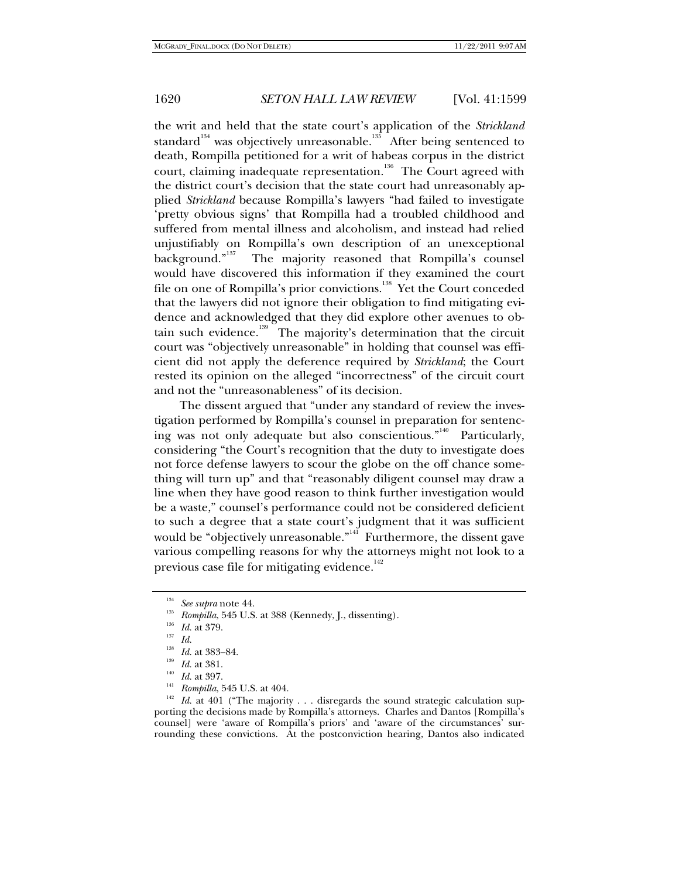the writ and held that the state court's application of the *Strickland* standard<sup>134</sup> was objectively unreasonable.<sup>135</sup> After being sentenced to death, Rompilla petitioned for a writ of habeas corpus in the district court, claiming inadequate representation.<sup>136</sup> The Court agreed with the district court's decision that the state court had unreasonably applied *Strickland* because Rompilla's lawyers "had failed to investigate 'pretty obvious signs' that Rompilla had a troubled childhood and suffered from mental illness and alcoholism, and instead had relied unjustifiably on Rompilla's own description of an unexceptional background."<sup>137</sup> The majority reasoned that Rompilla's counsel would have discovered this information if they examined the court file on one of Rompilla's prior convictions.<sup>138</sup> Yet the Court conceded that the lawyers did not ignore their obligation to find mitigating evidence and acknowledged that they did explore other avenues to obtain such evidence.<sup>139</sup> The majority's determination that the circuit court was "objectively unreasonable" in holding that counsel was efficient did not apply the deference required by *Strickland*; the Court rested its opinion on the alleged "incorrectness" of the circuit court and not the "unreasonableness" of its decision.

The dissent argued that "under any standard of review the investigation performed by Rompilla's counsel in preparation for sentencing was not only adequate but also conscientious."<sup>140</sup> Particularly, considering "the Court's recognition that the duty to investigate does not force defense lawyers to scour the globe on the off chance something will turn up" and that "reasonably diligent counsel may draw a line when they have good reason to think further investigation would be a waste," counsel's performance could not be considered deficient to such a degree that a state court's judgment that it was sufficient would be "objectively unreasonable."<sup>141</sup> Furthermore, the dissent gave various compelling reasons for why the attorneys might not look to a previous case file for mitigating evidence.<sup>142</sup>

<sup>138</sup> Id. at 383–84.<br><sup>139</sup> Id. at 381.<br><sup>140</sup> Id. at 397.<br><sup>142</sup> Id. at 401 ("The majority . . . disregards the sound strategic calculation supporting the decisions made by Rompilla's attorneys. Charles and Dantos [Rompilla's counsel] were 'aware of Rompilla's priors' and 'aware of the circumstances' surrounding these convictions. At the postconviction hearing, Dantos also indicated

<sup>134</sup> *See supra* note 44. 135 *Rompilla*, 545 U.S. at 388 (Kennedy, J., dissenting). 136 *Id.* at 379. 137 *Id.*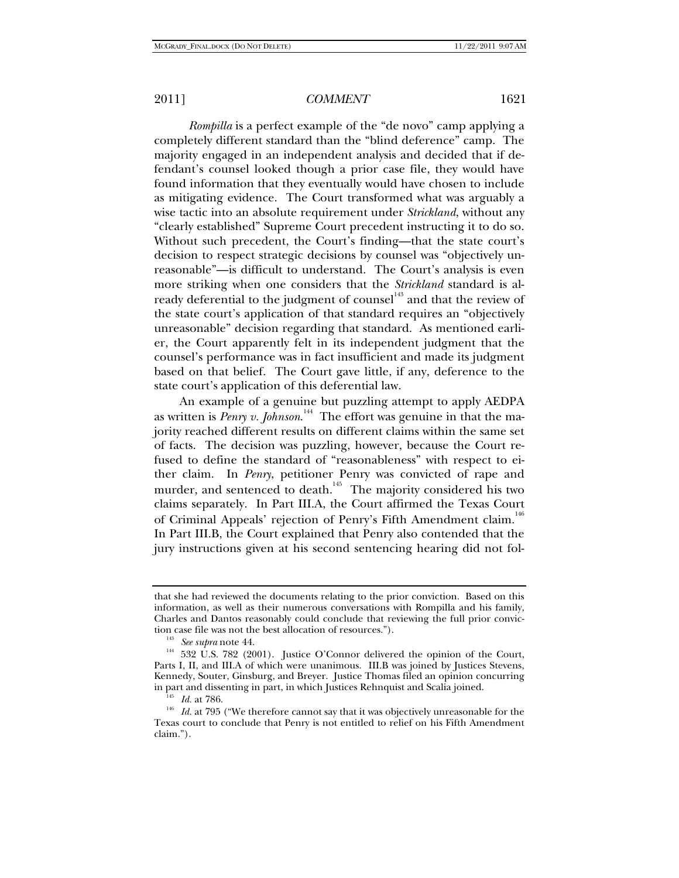*Rompilla* is a perfect example of the "de novo" camp applying a completely different standard than the "blind deference" camp. The majority engaged in an independent analysis and decided that if defendant's counsel looked though a prior case file, they would have found information that they eventually would have chosen to include as mitigating evidence. The Court transformed what was arguably a wise tactic into an absolute requirement under *Strickland*, without any "clearly established" Supreme Court precedent instructing it to do so. Without such precedent, the Court's finding—that the state court's decision to respect strategic decisions by counsel was "objectively unreasonable"—is difficult to understand. The Court's analysis is even more striking when one considers that the *Strickland* standard is already deferential to the judgment of counsel<sup>143</sup> and that the review of the state court's application of that standard requires an "objectively unreasonable" decision regarding that standard. As mentioned earlier, the Court apparently felt in its independent judgment that the counsel's performance was in fact insufficient and made its judgment based on that belief. The Court gave little, if any, deference to the state court's application of this deferential law.

An example of a genuine but puzzling attempt to apply AEDPA as written is *Penry v. Johnson*. 144 The effort was genuine in that the majority reached different results on different claims within the same set of facts. The decision was puzzling, however, because the Court refused to define the standard of "reasonableness" with respect to either claim. In *Penry*, petitioner Penry was convicted of rape and murder, and sentenced to death.<sup>145</sup> The majority considered his two claims separately. In Part III.A, the Court affirmed the Texas Court of Criminal Appeals' rejection of Penry's Fifth Amendment claim.<sup>146</sup> In Part III.B, the Court explained that Penry also contended that the jury instructions given at his second sentencing hearing did not fol-

that she had reviewed the documents relating to the prior conviction. Based on this information, as well as their numerous conversations with Rompilla and his family, Charles and Dantos reasonably could conclude that reviewing the full prior convic-

<sup>&</sup>lt;sup>143</sup> See supra note 44. *(144)* See *supra* note 44. <sup>144</sup> 532 U.S. 782 (2001). Justice O'Connor delivered the opinion of the Court, Parts I, II, and III.A of which were unanimous. III.B was joined by Justices Stevens, Kennedy, Souter, Ginsburg, and Breyer. Justice Thomas filed an opinion concurring

<sup>&</sup>lt;sup>145</sup> Id. at 786. 146 Id. at 786. 146 *Id.* at 795 ("We therefore cannot say that it was objectively unreasonable for the Texas court to conclude that Penry is not entitled to relief on his Fifth Amendment claim.").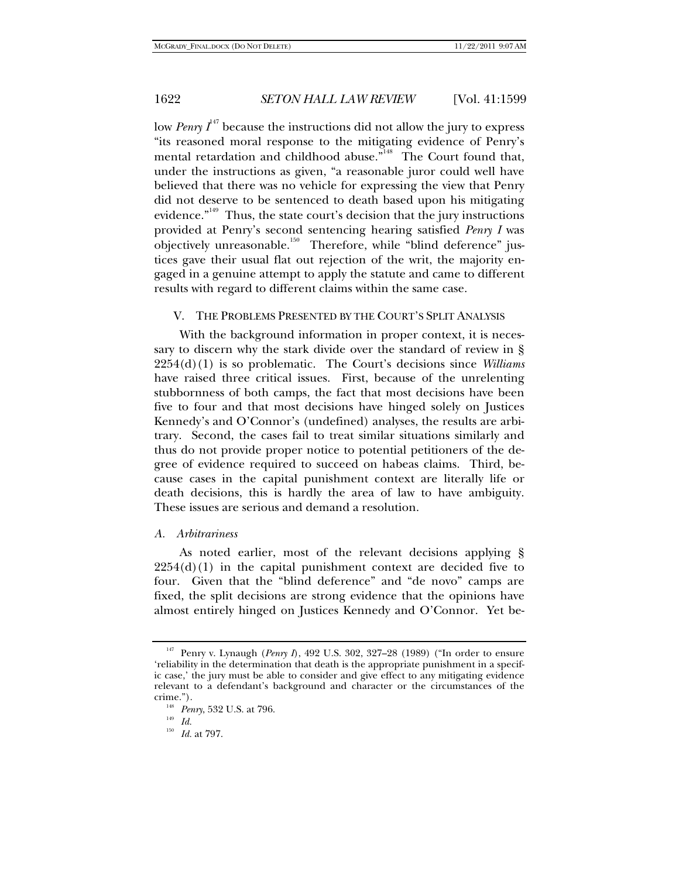low *Penry*  $I^{47}$  because the instructions did not allow the jury to express "its reasoned moral response to the mitigating evidence of Penry's mental retardation and childhood abuse.<sup>"148</sup> The Court found that, under the instructions as given, "a reasonable juror could well have believed that there was no vehicle for expressing the view that Penry did not deserve to be sentenced to death based upon his mitigating evidence."<sup>149</sup> Thus, the state court's decision that the jury instructions provided at Penry's second sentencing hearing satisfied *Penry I* was objectively unreasonable.<sup>150</sup> Therefore, while "blind deference" justices gave their usual flat out rejection of the writ, the majority engaged in a genuine attempt to apply the statute and came to different results with regard to different claims within the same case.

#### V. THE PROBLEMS PRESENTED BY THE COURT'S SPLIT ANALYSIS

With the background information in proper context, it is necessary to discern why the stark divide over the standard of review in § 2254(d)(1) is so problematic. The Court's decisions since *Williams* have raised three critical issues. First, because of the unrelenting stubbornness of both camps, the fact that most decisions have been five to four and that most decisions have hinged solely on Justices Kennedy's and O'Connor's (undefined) analyses, the results are arbitrary. Second, the cases fail to treat similar situations similarly and thus do not provide proper notice to potential petitioners of the degree of evidence required to succeed on habeas claims. Third, because cases in the capital punishment context are literally life or death decisions, this is hardly the area of law to have ambiguity. These issues are serious and demand a resolution.

#### *A. Arbitrariness*

As noted earlier, most of the relevant decisions applying §  $2254(d)(1)$  in the capital punishment context are decided five to four. Given that the "blind deference" and "de novo" camps are fixed, the split decisions are strong evidence that the opinions have almost entirely hinged on Justices Kennedy and O'Connor. Yet be-

<sup>147</sup> Penry v. Lynaugh (*Penry I*), 492 U.S. 302, 327–28 (1989) ("In order to ensure 'reliability in the determination that death is the appropriate punishment in a specific case,' the jury must be able to consider and give effect to any mitigating evidence relevant to a defendant's background and character or the circumstances of the crime."). 148 *Penry*, 532 U.S. at 796. 149 *Id.*

<sup>150</sup> *Id.* at 797.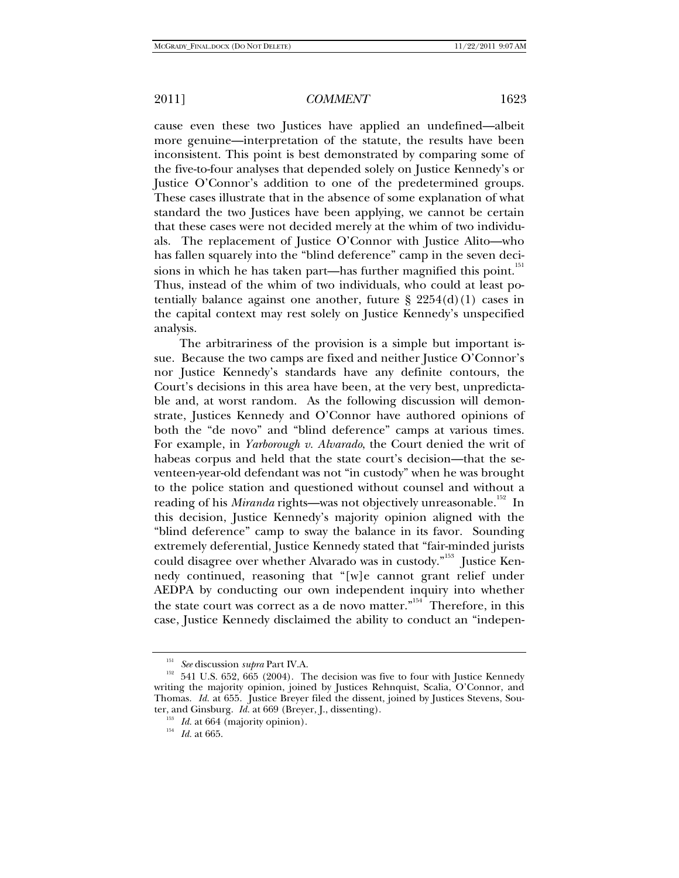cause even these two Justices have applied an undefined—albeit more genuine—interpretation of the statute, the results have been inconsistent. This point is best demonstrated by comparing some of the five-to-four analyses that depended solely on Justice Kennedy's or Justice O'Connor's addition to one of the predetermined groups. These cases illustrate that in the absence of some explanation of what standard the two Justices have been applying, we cannot be certain that these cases were not decided merely at the whim of two individuals. The replacement of Justice O'Connor with Justice Alito—who has fallen squarely into the "blind deference" camp in the seven decisions in which he has taken part—has further magnified this point.<sup>151</sup> Thus, instead of the whim of two individuals, who could at least potentially balance against one another, future  $\S 2254(d)(1)$  cases in the capital context may rest solely on Justice Kennedy's unspecified analysis.

The arbitrariness of the provision is a simple but important issue. Because the two camps are fixed and neither Justice O'Connor's nor Justice Kennedy's standards have any definite contours, the Court's decisions in this area have been, at the very best, unpredictable and, at worst random. As the following discussion will demonstrate, Justices Kennedy and O'Connor have authored opinions of both the "de novo" and "blind deference" camps at various times. For example, in *Yarborough v. Alvarado*, the Court denied the writ of habeas corpus and held that the state court's decision—that the seventeen-year-old defendant was not "in custody" when he was brought to the police station and questioned without counsel and without a reading of his *Miranda* rights—was not objectively unreasonable.<sup>152</sup> In this decision, Justice Kennedy's majority opinion aligned with the "blind deference" camp to sway the balance in its favor. Sounding extremely deferential, Justice Kennedy stated that "fair-minded jurists could disagree over whether Alvarado was in custody."<sup>153</sup> Justice Kennedy continued, reasoning that "[w]e cannot grant relief under AEDPA by conducting our own independent inquiry into whether the state court was correct as a de novo matter."154 Therefore, in this case, Justice Kennedy disclaimed the ability to conduct an "indepen-

<sup>&</sup>lt;sup>151</sup> See discussion *supra* Part IV.A.<br><sup>152</sup> 541 U.S. 652, 665 (2004). The decision was five to four with Justice Kennedy writing the majority opinion, joined by Justices Rehnquist, Scalia, O'Connor, and Thomas. *Id.* at 655. Justice Breyer filed the dissent, joined by Justices Stevens, Souter, and Ginsburg. *Id.* at 669 (Breyer, J., dissenting).<br><sup>153</sup> *Id.* at 664 (majority opinion).<br><sup>154</sup> *Id.* at 665.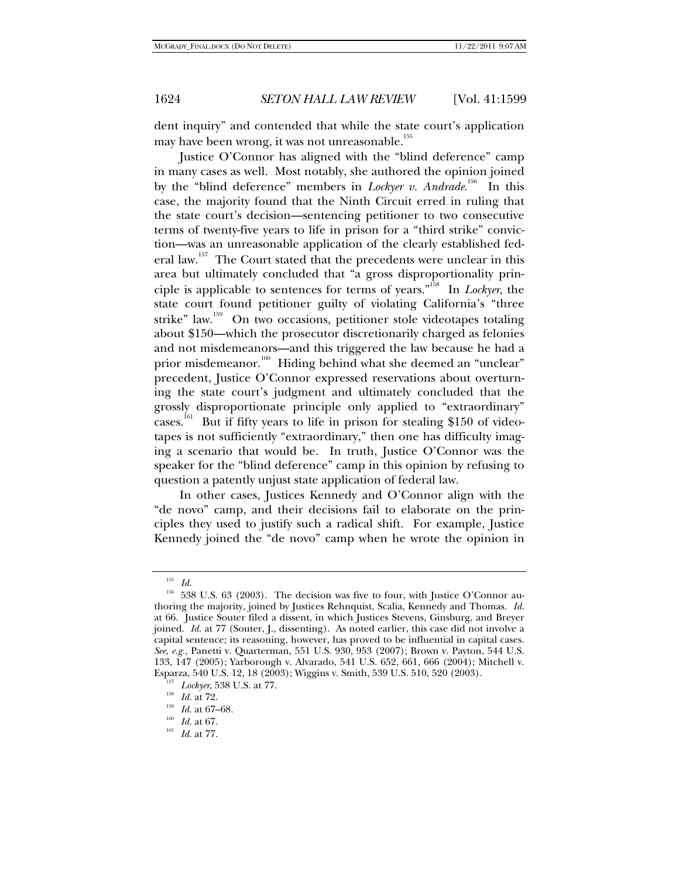dent inquiry" and contended that while the state court's application may have been wrong, it was not unreasonable.<sup>155</sup>

Justice O'Connor has aligned with the "blind deference" camp in many cases as well. Most notably, she authored the opinion joined by the "blind deference" members in *Lockyer v. Andrade*. 156 In this case, the majority found that the Ninth Circuit erred in ruling that the state court's decision—sentencing petitioner to two consecutive terms of twenty-five years to life in prison for a "third strike" conviction—was an unreasonable application of the clearly established federal law.<sup>157</sup> The Court stated that the precedents were unclear in this area but ultimately concluded that "a gross disproportionality principle is applicable to sentences for terms of years."158 In *Lockyer*, the state court found petitioner guilty of violating California's "three strike" law.<sup>159</sup> On two occasions, petitioner stole videotapes totaling about \$150—which the prosecutor discretionarily charged as felonies and not misdemeanors—and this triggered the law because he had a prior misdemeanor.<sup>160</sup> Hiding behind what she deemed an "unclear" precedent, Justice O'Connor expressed reservations about overturning the state court's judgment and ultimately concluded that the grossly disproportionate principle only applied to "extraordinary"  $\overline{\text{cases}}$ .<sup>161</sup> But if fifty years to life in prison for stealing \$150 of videotapes is not sufficiently "extraordinary," then one has difficulty imaging a scenario that would be. In truth, Justice O'Connor was the speaker for the "blind deference" camp in this opinion by refusing to question a patently unjust state application of federal law.

In other cases, Justices Kennedy and O'Connor align with the "de novo" camp, and their decisions fail to elaborate on the principles they used to justify such a radical shift. For example, Justice Kennedy joined the "de novo" camp when he wrote the opinion in

 $\frac{155}{156}$  *Id.* 

<sup>156 538</sup> U.S. 63 (2003). The decision was five to four, with Justice O'Connor authoring the majority, joined by Justices Rehnquist, Scalia, Kennedy and Thomas. *Id.*  at 66. Justice Souter filed a dissent, in which Justices Stevens, Ginsburg, and Breyer joined. *Id.* at 77 (Souter, J., dissenting). As noted earlier, this case did not involve a capital sentence; its reasoning, however, has proved to be influential in capital cases. *See, e.g.*, Panetti v. Quarterman, 551 U.S. 930, 953 (2007); Brown v. Payton, 544 U.S. 133, 147 (2005); Yarborough v. Alvarado, 541 U.S. 652, 661, 666 (2004); Mitchell v. Esparza, 540 U.S. 12, 18 (2003); Wiggins v. Smith, 539 U.S. 510, 520 (2003).<br>
<sup>157</sup> *Lockyer*, 538 U.S. at 77.<br>
<sup>158</sup> *Id.* at 72.<br>
<sup>159</sup> *Id.* at 67–68.<br>
<sup>160</sup> *Id.* at 67.<br>
<sup>161</sup> *Id.* at 77.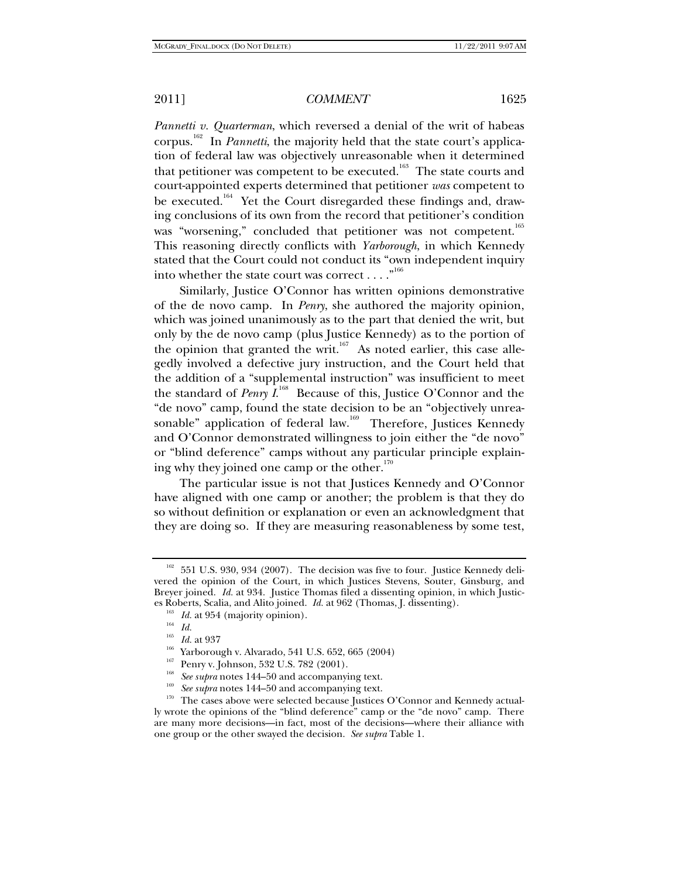*Pannetti v. Quarterman*, which reversed a denial of the writ of habeas corpus.162 In *Pannetti*, the majority held that the state court's application of federal law was objectively unreasonable when it determined that petitioner was competent to be executed.<sup>163</sup> The state courts and court-appointed experts determined that petitioner *was* competent to be executed.<sup>164</sup> Yet the Court disregarded these findings and, drawing conclusions of its own from the record that petitioner's condition was "worsening," concluded that petitioner was not competent.<sup>165</sup> This reasoning directly conflicts with *Yarborough*, in which Kennedy stated that the Court could not conduct its "own independent inquiry into whether the state court was correct  $\dots$ ."<sup>166</sup>

Similarly, Justice O'Connor has written opinions demonstrative of the de novo camp. In *Penry*, she authored the majority opinion, which was joined unanimously as to the part that denied the writ, but only by the de novo camp (plus Justice Kennedy) as to the portion of the opinion that granted the writ.<sup>167</sup> As noted earlier, this case allegedly involved a defective jury instruction, and the Court held that the addition of a "supplemental instruction" was insufficient to meet the standard of *Penry I*.<sup>168</sup> Because of this, Justice O'Connor and the "de novo" camp, found the state decision to be an "objectively unreasonable" application of federal law.<sup>169</sup> Therefore, Justices Kennedy and O'Connor demonstrated willingness to join either the "de novo" or "blind deference" camps without any particular principle explaining why they joined one camp or the other. $170$ 

The particular issue is not that Justices Kennedy and O'Connor have aligned with one camp or another; the problem is that they do so without definition or explanation or even an acknowledgment that they are doing so. If they are measuring reasonableness by some test,

<sup>&</sup>lt;sup>162</sup> 551 U.S. 930, 934 (2007). The decision was five to four. Justice Kennedy delivered the opinion of the Court, in which Justices Stevens, Souter, Ginsburg, and Breyer joined. *Id.* at 934. Justice Thomas filed a dissenting opinion, in which Justices Roberts, Scalia, and Alito joined. *Id.* at 962 (Thomas, J. dissenting).<br><sup>163</sup> *Id.* at 954 (majority opinion).<br><sup>164</sup> *Id.* at 937

<sup>&</sup>lt;sup>166</sup> Yarborough v. Alvarado, 541 U.S. 652, 665 (2004)<br><sup>167</sup> Penry v. Johnson, 532 U.S. 782 (2001).<br><sup>168</sup> See supra notes 144–50 and accompanying text.

<sup>&</sup>lt;sup>169</sup> See supra notes 144–50 and accompanying text.<br><sup>170</sup> The cases above were selected because Justices O'Connor and Kennedy actually wrote the opinions of the "blind deference" camp or the "de novo" camp. There are many more decisions—in fact, most of the decisions—where their alliance with one group or the other swayed the decision. *See supra* Table 1.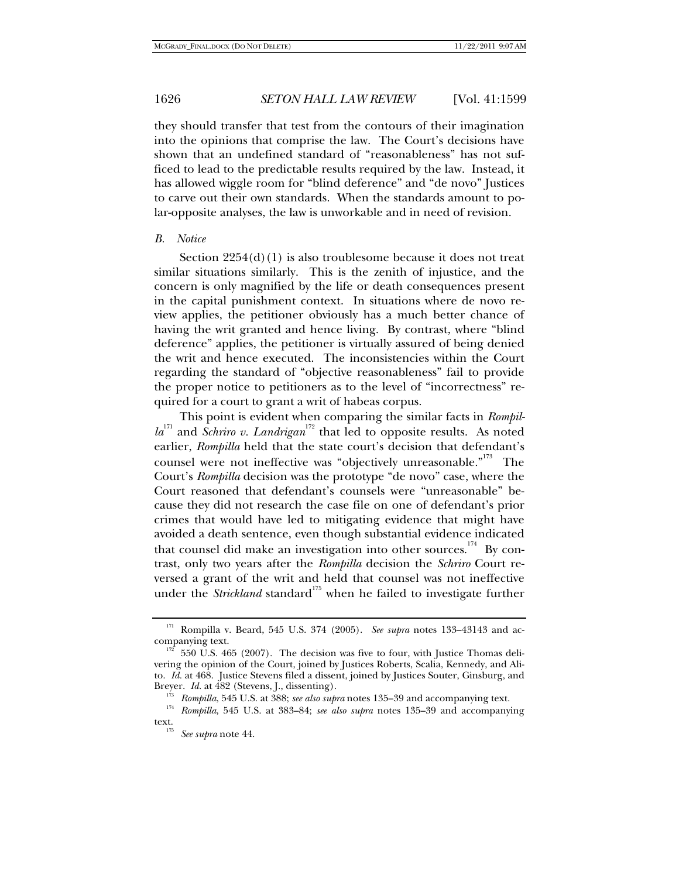they should transfer that test from the contours of their imagination into the opinions that comprise the law. The Court's decisions have shown that an undefined standard of "reasonableness" has not sufficed to lead to the predictable results required by the law. Instead, it has allowed wiggle room for "blind deference" and "de novo" Justices to carve out their own standards. When the standards amount to polar-opposite analyses, the law is unworkable and in need of revision.

#### *B. Notice*

Section  $2254(d)(1)$  is also troublesome because it does not treat similar situations similarly. This is the zenith of injustice, and the concern is only magnified by the life or death consequences present in the capital punishment context. In situations where de novo review applies, the petitioner obviously has a much better chance of having the writ granted and hence living. By contrast, where "blind deference" applies, the petitioner is virtually assured of being denied the writ and hence executed. The inconsistencies within the Court regarding the standard of "objective reasonableness" fail to provide the proper notice to petitioners as to the level of "incorrectness" required for a court to grant a writ of habeas corpus.

This point is evident when comparing the similar facts in *Rompilla*<sup>171</sup> and *Schriro v. Landrigan*<sup>172</sup> that led to opposite results. As noted earlier, *Rompilla* held that the state court's decision that defendant's counsel were not ineffective was "objectively unreasonable."<sup>173</sup> The Court's *Rompilla* decision was the prototype "de novo" case, where the Court reasoned that defendant's counsels were "unreasonable" because they did not research the case file on one of defendant's prior crimes that would have led to mitigating evidence that might have avoided a death sentence, even though substantial evidence indicated that counsel did make an investigation into other sources.<sup>174</sup> By contrast, only two years after the *Rompilla* decision the *Schriro* Court reversed a grant of the writ and held that counsel was not ineffective under the *Strickland* standard<sup>175</sup> when he failed to investigate further

<sup>&</sup>lt;sup>171</sup> Rompilla v. Beard, 545 U.S. 374 (2005). *See supra* notes 133–43143 and ac-<br>companying text.

<sup>550</sup> U.S. 465 (2007). The decision was five to four, with Justice Thomas delivering the opinion of the Court, joined by Justices Roberts, Scalia, Kennedy, and Alito. *Id.* at 468. Justice Stevens filed a dissent, joined by Justices Souter, Ginsburg, and

Breyer. *Id.* at 482 (Stevens, J., dissenting).<br><sup>173</sup> Rompilla, 545 U.S. at 388; *see also supra* notes 135–39 and accompanying text.<br><sup>174</sup> Rompilla, 545 U.S. at 383–84; *see also supra* notes 135–39 and accompanying text. 175 *See supra* note 44.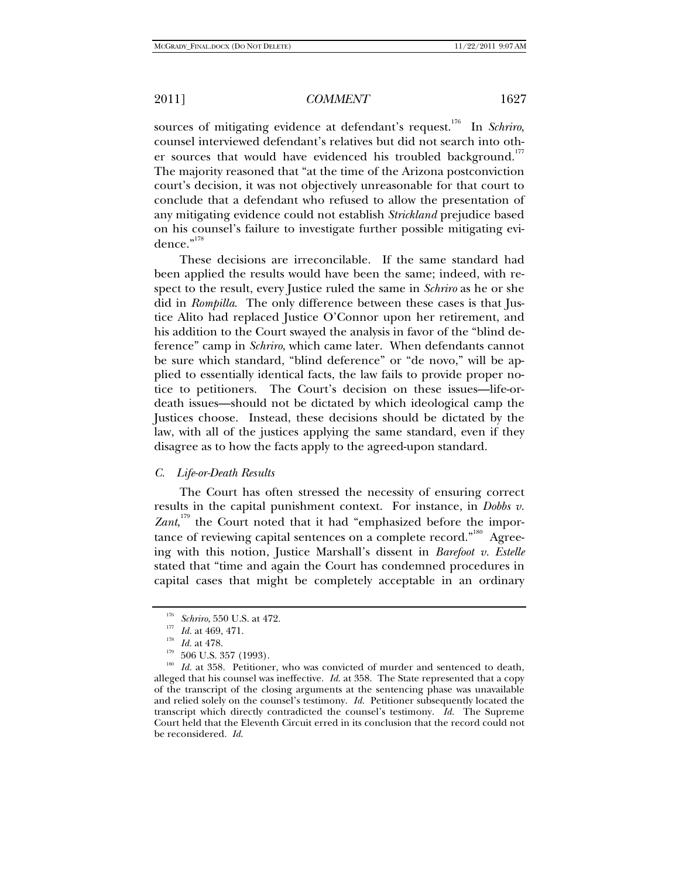sources of mitigating evidence at defendant's request.<sup>176</sup> In *Schriro*, counsel interviewed defendant's relatives but did not search into other sources that would have evidenced his troubled background.<sup>177</sup> The majority reasoned that "at the time of the Arizona postconviction court's decision, it was not objectively unreasonable for that court to conclude that a defendant who refused to allow the presentation of any mitigating evidence could not establish *Strickland* prejudice based on his counsel's failure to investigate further possible mitigating evidence."<sup>178</sup>

These decisions are irreconcilable. If the same standard had been applied the results would have been the same; indeed, with respect to the result, every Justice ruled the same in *Schriro* as he or she did in *Rompilla*. The only difference between these cases is that Justice Alito had replaced Justice O'Connor upon her retirement, and his addition to the Court swayed the analysis in favor of the "blind deference" camp in *Schriro*, which came later. When defendants cannot be sure which standard, "blind deference" or "de novo," will be applied to essentially identical facts, the law fails to provide proper notice to petitioners. The Court's decision on these issues—life-ordeath issues—should not be dictated by which ideological camp the Justices choose. Instead, these decisions should be dictated by the law, with all of the justices applying the same standard, even if they disagree as to how the facts apply to the agreed-upon standard.

#### *C. Life-or-Death Results*

The Court has often stressed the necessity of ensuring correct results in the capital punishment context. For instance, in *Dobbs v.*  Zant,<sup>179</sup> the Court noted that it had "emphasized before the importance of reviewing capital sentences on a complete record."<sup>180</sup> Agreeing with this notion, Justice Marshall's dissent in *Barefoot v. Estelle* stated that "time and again the Court has condemned procedures in capital cases that might be completely acceptable in an ordinary

<sup>&</sup>lt;sup>176</sup> Schriro, 550 U.S. at 472.<br>
<sup>177</sup> *Id.* at 469, 471.<br>
<sup>178</sup> 506 U.S. 357 (1993).<br>
<sup>180</sup> *Id.* at 358. Petitioner, who was convicted of murder and sentenced to death, alleged that his counsel was ineffective. *Id.* at 358. The State represented that a copy of the transcript of the closing arguments at the sentencing phase was unavailable and relied solely on the counsel's testimony. *Id.* Petitioner subsequently located the transcript which directly contradicted the counsel's testimony. *Id.* The Supreme Court held that the Eleventh Circuit erred in its conclusion that the record could not be reconsidered. *Id.*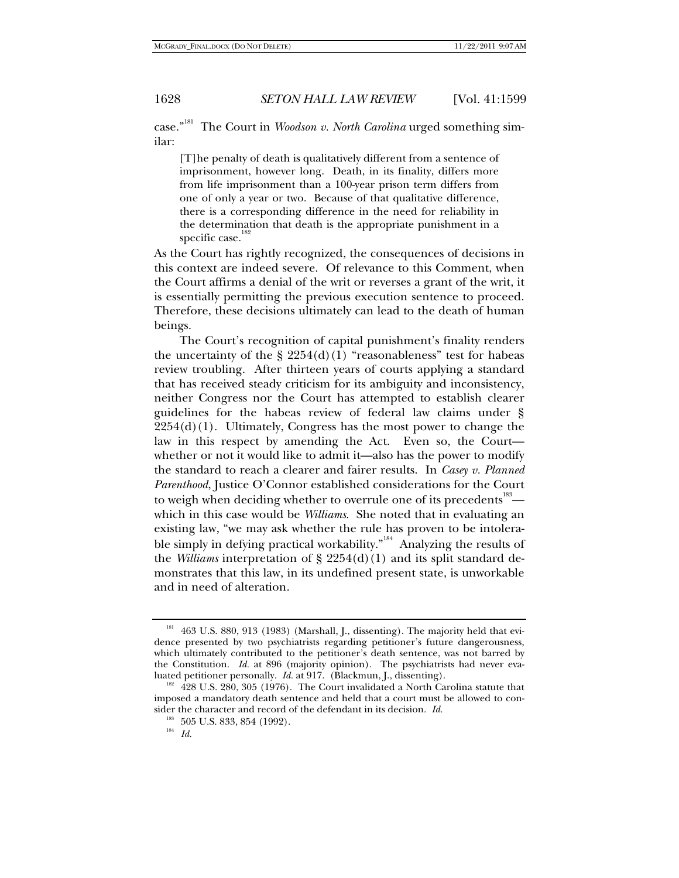case."181 The Court in *Woodson v. North Carolina* urged something similar:

[T]he penalty of death is qualitatively different from a sentence of imprisonment, however long. Death, in its finality, differs more from life imprisonment than a 100-year prison term differs from one of only a year or two. Because of that qualitative difference, there is a corresponding difference in the need for reliability in the determination that death is the appropriate punishment in a specific case.<sup>182</sup>

As the Court has rightly recognized, the consequences of decisions in this context are indeed severe. Of relevance to this Comment, when the Court affirms a denial of the writ or reverses a grant of the writ, it is essentially permitting the previous execution sentence to proceed. Therefore, these decisions ultimately can lead to the death of human beings.

The Court's recognition of capital punishment's finality renders the uncertainty of the  $\S 2254(d)(1)$  "reasonableness" test for habeas review troubling. After thirteen years of courts applying a standard that has received steady criticism for its ambiguity and inconsistency, neither Congress nor the Court has attempted to establish clearer guidelines for the habeas review of federal law claims under §  $2254(d)(1)$ . Ultimately, Congress has the most power to change the law in this respect by amending the Act. Even so, the Court whether or not it would like to admit it—also has the power to modify the standard to reach a clearer and fairer results. In *Casey v. Planned Parenthood*, Justice O'Connor established considerations for the Court to weigh when deciding whether to overrule one of its precedents  $\overset{\text{183}}{\text{--}}$ which in this case would be *Williams*. She noted that in evaluating an existing law, "we may ask whether the rule has proven to be intolerable simply in defying practical workability."<sup>184</sup> Analyzing the results of the *Williams* interpretation of  $\S$  2254(d)(1) and its split standard demonstrates that this law, in its undefined present state, is unworkable and in need of alteration.

<sup>&</sup>lt;sup>181</sup> 463 U.S. 880, 913 (1983) (Marshall, J., dissenting). The majority held that evidence presented by two psychiatrists regarding petitioner's future dangerousness, which ultimately contributed to the petitioner's death sentence, was not barred by the Constitution. *Id.* at 896 (majority opinion). The psychiatrists had never eva-<br>luated petitioner personally. *Id.* at 917. (Blackmun, J., dissenting).

 $182$  428 U.S. 280, 305 (1976). The Court invalidated a North Carolina statute that imposed a mandatory death sentence and held that a court must be allowed to consider the character and record of the defendant in its decision. *Id.* 

<sup>183 505</sup> U.S. 833, 854 (1992). 184 *Id.*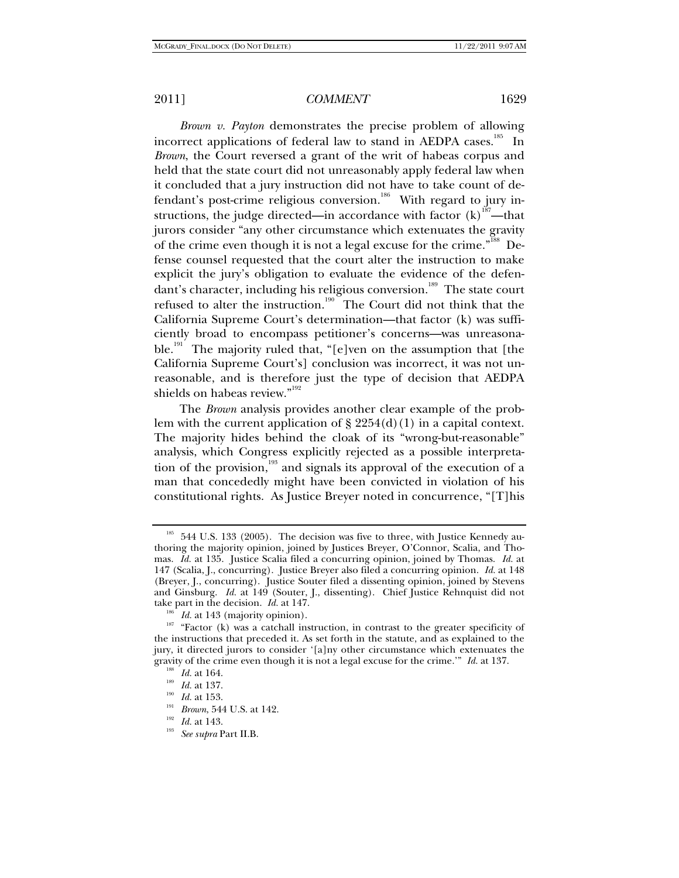*Brown v. Payton* demonstrates the precise problem of allowing incorrect applications of federal law to stand in AEDPA cases.<sup>185</sup> In *Brown*, the Court reversed a grant of the writ of habeas corpus and held that the state court did not unreasonably apply federal law when it concluded that a jury instruction did not have to take count of defendant's post-crime religious conversion.<sup>186</sup> With regard to jury instructions, the judge directed—in accordance with factor  $(k)$ <sup>187</sup>—that jurors consider "any other circumstance which extenuates the gravity of the crime even though it is not a legal excuse for the crime.<sup>"188</sup> Defense counsel requested that the court alter the instruction to make explicit the jury's obligation to evaluate the evidence of the defendant's character, including his religious conversion.<sup>189</sup> The state court refused to alter the instruction.<sup>190</sup> The Court did not think that the California Supreme Court's determination—that factor (k) was sufficiently broad to encompass petitioner's concerns—was unreasonable.<sup>191</sup> The majority ruled that, "[e]ven on the assumption that [the California Supreme Court's] conclusion was incorrect, it was not unreasonable, and is therefore just the type of decision that AEDPA shields on habeas review."<sup>192</sup>

The *Brown* analysis provides another clear example of the problem with the current application of  $\S 2254(d)(1)$  in a capital context. The majority hides behind the cloak of its "wrong-but-reasonable" analysis, which Congress explicitly rejected as a possible interpretation of the provision,<sup>193</sup> and signals its approval of the execution of a man that concededly might have been convicted in violation of his constitutional rights. As Justice Breyer noted in concurrence, "[T]his

<sup>&</sup>lt;sup>185</sup> 544 U.S. 133 (2005). The decision was five to three, with Justice Kennedy authoring the majority opinion, joined by Justices Breyer, O'Connor, Scalia, and Thomas. *Id.* at 135. Justice Scalia filed a concurring opinion, joined by Thomas. *Id.* at 147 (Scalia, J., concurring). Justice Breyer also filed a concurring opinion. *Id.* at 148 (Breyer, J., concurring). Justice Souter filed a dissenting opinion, joined by Stevens and Ginsburg. *Id.* at 149 (Souter, J., dissenting). Chief Justice Rehnquist did not take part in the decision. *Id.* at 147.

<sup>&</sup>lt;sup>186</sup> *Id.* at 143 (majority opinion). <sup>187</sup> "Factor (k) was a catchall instruction, in contrast to the greater specificity of the instructions that preceded it. As set forth in the statute, and as explained to the jury, it directed jurors to consider '[a]ny other circumstance which extenuates the gravity of the crime even though it is not a legal excuse for the crime." Id. at 137.<br>
<sup>188</sup> Id. at 164.<br>
<sup>189</sup> Id. at 137.<br>
<sup>190</sup> Id. at 133.<br>
<sup>191</sup> Brown, 544 U.S. at 142.<br>
<sup>192</sup> Id. at 143.<br> *See supra* Part II.B.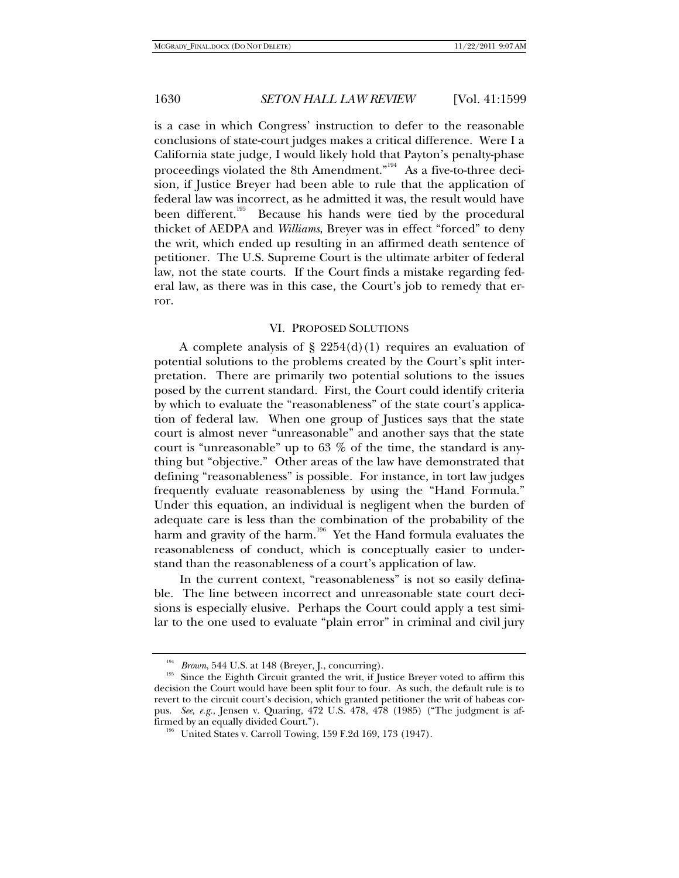is a case in which Congress' instruction to defer to the reasonable conclusions of state-court judges makes a critical difference. Were I a California state judge, I would likely hold that Payton's penalty-phase proceedings violated the 8th Amendment."<sup>194</sup> As a five-to-three decision, if Justice Breyer had been able to rule that the application of federal law was incorrect, as he admitted it was, the result would have been different.<sup>195</sup> Because his hands were tied by the procedural thicket of AEDPA and *Williams*, Breyer was in effect "forced" to deny the writ, which ended up resulting in an affirmed death sentence of petitioner. The U.S. Supreme Court is the ultimate arbiter of federal law, not the state courts. If the Court finds a mistake regarding federal law, as there was in this case, the Court's job to remedy that error.

#### VI. PROPOSED SOLUTIONS

A complete analysis of  $\S 2254(d)(1)$  requires an evaluation of potential solutions to the problems created by the Court's split interpretation. There are primarily two potential solutions to the issues posed by the current standard. First, the Court could identify criteria by which to evaluate the "reasonableness" of the state court's application of federal law. When one group of Justices says that the state court is almost never "unreasonable" and another says that the state court is "unreasonable" up to  $63\%$  of the time, the standard is anything but "objective." Other areas of the law have demonstrated that defining "reasonableness" is possible. For instance, in tort law judges frequently evaluate reasonableness by using the "Hand Formula." Under this equation, an individual is negligent when the burden of adequate care is less than the combination of the probability of the harm and gravity of the harm.<sup>196</sup> Yet the Hand formula evaluates the reasonableness of conduct, which is conceptually easier to understand than the reasonableness of a court's application of law.

In the current context, "reasonableness" is not so easily definable. The line between incorrect and unreasonable state court decisions is especially elusive. Perhaps the Court could apply a test similar to the one used to evaluate "plain error" in criminal and civil jury

<sup>&</sup>lt;sup>194</sup> Brown, 544 U.S. at 148 (Breyer, J., concurring).<br><sup>195</sup> Since the Eighth Circuit granted the writ, if Justice Breyer voted to affirm this decision the Court would have been split four to four. As such, the default rule is to revert to the circuit court's decision, which granted petitioner the writ of habeas corpus. *See, e.g.*, Jensen v. Quaring, 472 U.S. 478, 478 (1985) ("The judgment is affirmed by an equally divided Court.").<br><sup>196</sup> United States v. Carroll Towing, 159 F.2d 169, 173 (1947).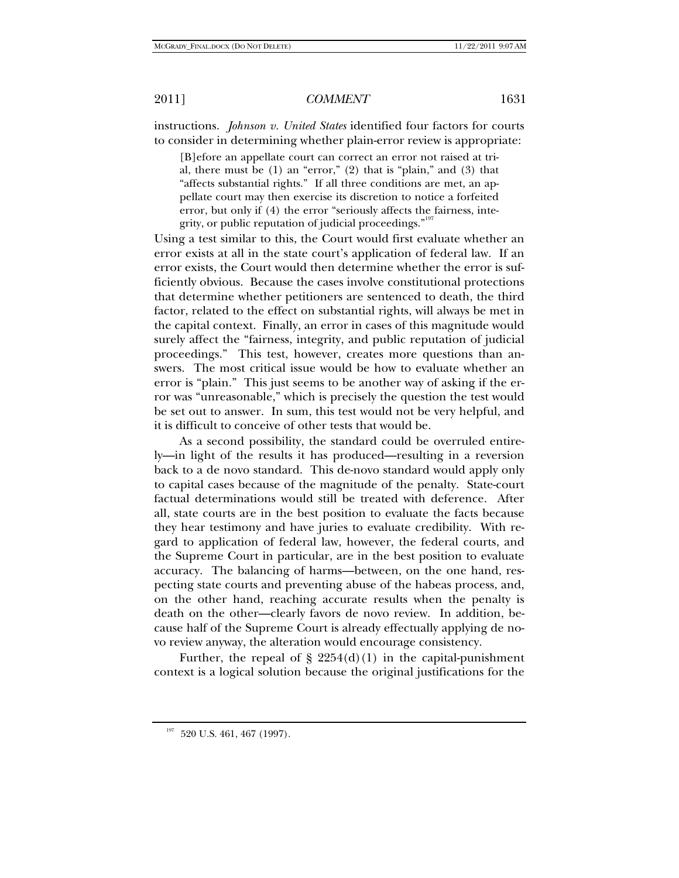instructions. *Johnson v. United States* identified four factors for courts to consider in determining whether plain-error review is appropriate:

[B]efore an appellate court can correct an error not raised at trial, there must be (1) an "error," (2) that is "plain," and (3) that "affects substantial rights." If all three conditions are met, an appellate court may then exercise its discretion to notice a forfeited error, but only if (4) the error "seriously affects the fairness, integrity, or public reputation of judicial proceedings."<sup>19</sup>

Using a test similar to this, the Court would first evaluate whether an error exists at all in the state court's application of federal law. If an error exists, the Court would then determine whether the error is sufficiently obvious. Because the cases involve constitutional protections that determine whether petitioners are sentenced to death, the third factor, related to the effect on substantial rights, will always be met in the capital context. Finally, an error in cases of this magnitude would surely affect the "fairness, integrity, and public reputation of judicial proceedings." This test, however, creates more questions than answers. The most critical issue would be how to evaluate whether an error is "plain." This just seems to be another way of asking if the error was "unreasonable," which is precisely the question the test would be set out to answer. In sum, this test would not be very helpful, and it is difficult to conceive of other tests that would be.

As a second possibility, the standard could be overruled entirely—in light of the results it has produced—resulting in a reversion back to a de novo standard. This de-novo standard would apply only to capital cases because of the magnitude of the penalty. State-court factual determinations would still be treated with deference. After all, state courts are in the best position to evaluate the facts because they hear testimony and have juries to evaluate credibility. With regard to application of federal law, however, the federal courts, and the Supreme Court in particular, are in the best position to evaluate accuracy. The balancing of harms—between, on the one hand, respecting state courts and preventing abuse of the habeas process, and, on the other hand, reaching accurate results when the penalty is death on the other—clearly favors de novo review. In addition, because half of the Supreme Court is already effectually applying de novo review anyway, the alteration would encourage consistency.

Further, the repeal of  $\S 2254(d)(1)$  in the capital-punishment context is a logical solution because the original justifications for the

 $^{197}$  520 U.S. 461, 467 (1997).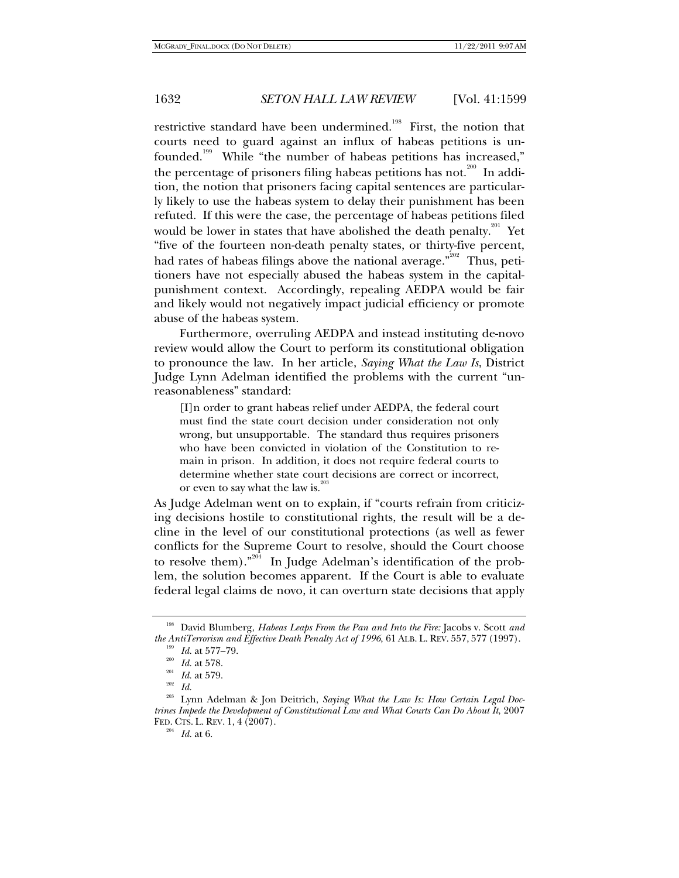restrictive standard have been undermined.<sup>198</sup> First, the notion that courts need to guard against an influx of habeas petitions is unfounded.<sup>199</sup> While "the number of habeas petitions has increased," the percentage of prisoners filing habeas petitions has not.<sup>200</sup> In addition, the notion that prisoners facing capital sentences are particularly likely to use the habeas system to delay their punishment has been refuted. If this were the case, the percentage of habeas petitions filed would be lower in states that have abolished the death penalty.<sup>201</sup> Yet "five of the fourteen non-death penalty states, or thirty-five percent, had rates of habeas filings above the national average."<sup>202</sup> Thus, petitioners have not especially abused the habeas system in the capitalpunishment context. Accordingly, repealing AEDPA would be fair and likely would not negatively impact judicial efficiency or promote abuse of the habeas system.

Furthermore, overruling AEDPA and instead instituting de-novo review would allow the Court to perform its constitutional obligation to pronounce the law. In her article, *Saying What the Law Is*, District Judge Lynn Adelman identified the problems with the current "unreasonableness" standard:

[I]n order to grant habeas relief under AEDPA, the federal court must find the state court decision under consideration not only wrong, but unsupportable. The standard thus requires prisoners who have been convicted in violation of the Constitution to remain in prison. In addition, it does not require federal courts to determine whether state court decisions are correct or incorrect, or even to say what the law is. $\frac{20}{3}$ 

As Judge Adelman went on to explain, if "courts refrain from criticizing decisions hostile to constitutional rights, the result will be a decline in the level of our constitutional protections (as well as fewer conflicts for the Supreme Court to resolve, should the Court choose to resolve them)."<sup>204</sup> In Judge Adelman's identification of the problem, the solution becomes apparent. If the Court is able to evaluate federal legal claims de novo, it can overturn state decisions that apply

<sup>198</sup> David Blumberg, *Habeas Leaps From the Pan and Into the Fire:* Jacobs v. Scott *and the AntiTerrorism and Effective Death Penalty Act of 1996*, 61 ALB. L. REV. 557, 577 (1997).<br>
<sup>199</sup> *Id.* at 577–79.<br>
<sup>200</sup> *Id.* at 579.<br>
<sup>203</sup> Iump Adelman & Jop Deitrich, Seving What the Law Is: How Certain Lacal Dec<sup>2</sup>

Lynn Adelman & Jon Deitrich, *Saying What the Law Is: How Certain Legal Doctrines Impede the Development of Constitutional Law and What Courts Can Do About It*, 2007 FED. CTS. L. REV. 1, <sup>4</sup> (2007). 204 *Id.* at 6.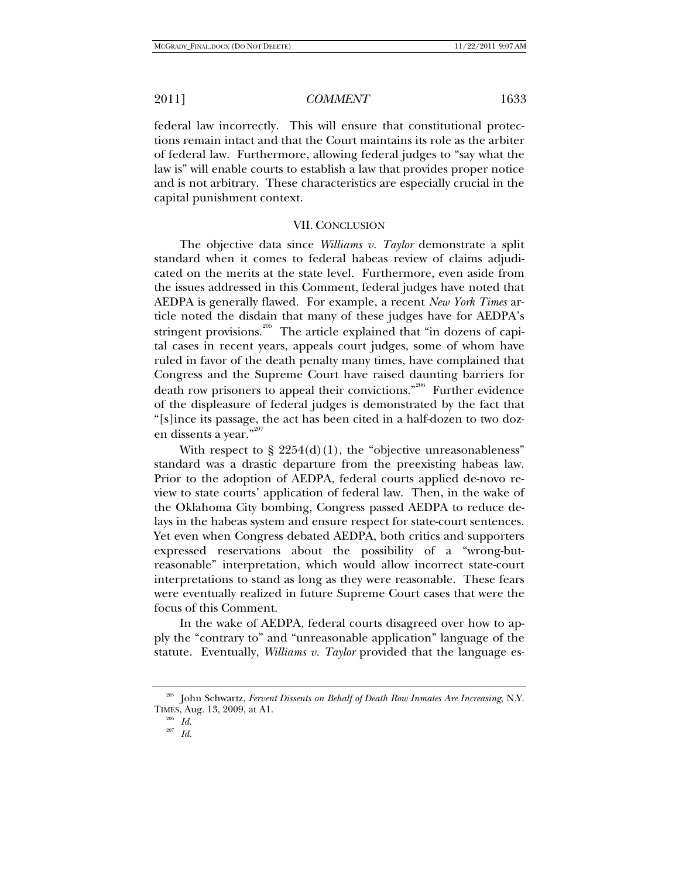federal law incorrectly. This will ensure that constitutional protections remain intact and that the Court maintains its role as the arbiter of federal law. Furthermore, allowing federal judges to "say what the law is" will enable courts to establish a law that provides proper notice and is not arbitrary. These characteristics are especially crucial in the capital punishment context.

#### VII. CONCLUSION

The objective data since *Williams v. Taylor* demonstrate a split standard when it comes to federal habeas review of claims adjudicated on the merits at the state level. Furthermore, even aside from the issues addressed in this Comment, federal judges have noted that AEDPA is generally flawed. For example, a recent *New York Times* article noted the disdain that many of these judges have for AEDPA's stringent provisions.<sup>205</sup> The article explained that "in dozens of capital cases in recent years, appeals court judges, some of whom have ruled in favor of the death penalty many times, have complained that Congress and the Supreme Court have raised daunting barriers for death row prisoners to appeal their convictions."<sup>206</sup> Further evidence of the displeasure of federal judges is demonstrated by the fact that "[s]ince its passage, the act has been cited in a half-dozen to two dozen dissents a year."<sup>207</sup>

With respect to  $\S 2254(d)(1)$ , the "objective unreasonableness" standard was a drastic departure from the preexisting habeas law. Prior to the adoption of AEDPA, federal courts applied de-novo review to state courts' application of federal law. Then, in the wake of the Oklahoma City bombing, Congress passed AEDPA to reduce delays in the habeas system and ensure respect for state-court sentences. Yet even when Congress debated AEDPA, both critics and supporters expressed reservations about the possibility of a "wrong-butreasonable" interpretation, which would allow incorrect state-court interpretations to stand as long as they were reasonable. These fears were eventually realized in future Supreme Court cases that were the focus of this Comment.

In the wake of AEDPA, federal courts disagreed over how to apply the "contrary to" and "unreasonable application" language of the statute. Eventually, *Williams v. Taylor* provided that the language es-

<sup>205</sup> John Schwartz, *Fervent Dissents on Behalf of Death Row Inmates Are Increasing*, N.Y. TIMES, Aug. 13, 2009, at A1. 206 *Id.*

<sup>207</sup> *Id.*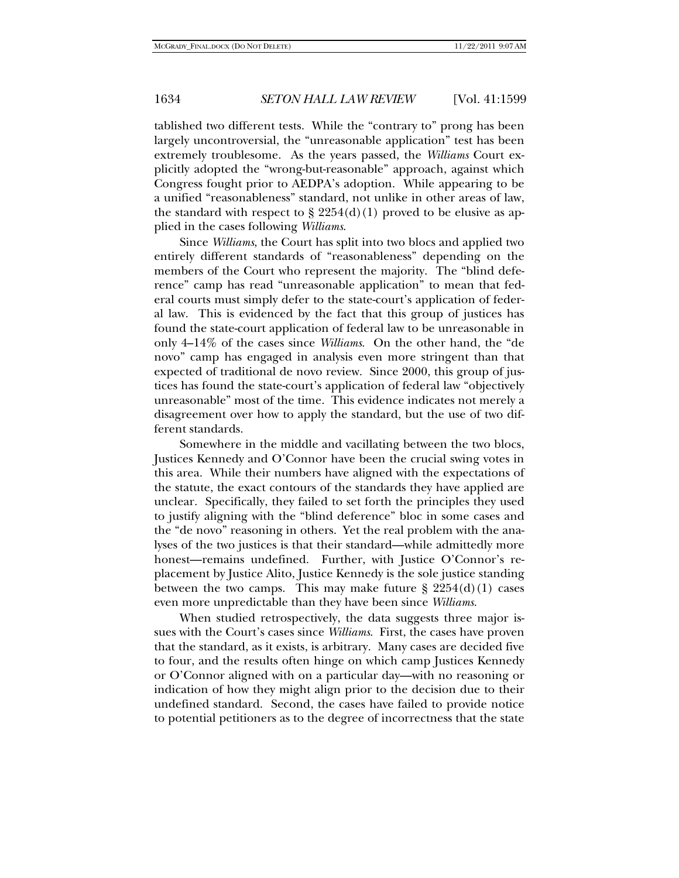tablished two different tests. While the "contrary to" prong has been largely uncontroversial, the "unreasonable application" test has been extremely troublesome. As the years passed, the *Williams* Court explicitly adopted the "wrong-but-reasonable" approach, against which Congress fought prior to AEDPA's adoption. While appearing to be a unified "reasonableness" standard, not unlike in other areas of law, the standard with respect to  $\S 2254(d)(1)$  proved to be elusive as applied in the cases following *Williams*.

Since *Williams*, the Court has split into two blocs and applied two entirely different standards of "reasonableness" depending on the members of the Court who represent the majority. The "blind deference" camp has read "unreasonable application" to mean that federal courts must simply defer to the state-court's application of federal law. This is evidenced by the fact that this group of justices has found the state-court application of federal law to be unreasonable in only 4–14% of the cases since *Williams*. On the other hand, the "de novo" camp has engaged in analysis even more stringent than that expected of traditional de novo review. Since 2000, this group of justices has found the state-court's application of federal law "objectively unreasonable" most of the time. This evidence indicates not merely a disagreement over how to apply the standard, but the use of two different standards.

Somewhere in the middle and vacillating between the two blocs, Justices Kennedy and O'Connor have been the crucial swing votes in this area. While their numbers have aligned with the expectations of the statute, the exact contours of the standards they have applied are unclear. Specifically, they failed to set forth the principles they used to justify aligning with the "blind deference" bloc in some cases and the "de novo" reasoning in others. Yet the real problem with the analyses of the two justices is that their standard—while admittedly more honest—remains undefined. Further, with Justice O'Connor's replacement by Justice Alito, Justice Kennedy is the sole justice standing between the two camps. This may make future  $\S 2254(d)(1)$  cases even more unpredictable than they have been since *Williams*.

When studied retrospectively, the data suggests three major issues with the Court's cases since *Williams*. First, the cases have proven that the standard, as it exists, is arbitrary. Many cases are decided five to four, and the results often hinge on which camp Justices Kennedy or O'Connor aligned with on a particular day—with no reasoning or indication of how they might align prior to the decision due to their undefined standard. Second, the cases have failed to provide notice to potential petitioners as to the degree of incorrectness that the state